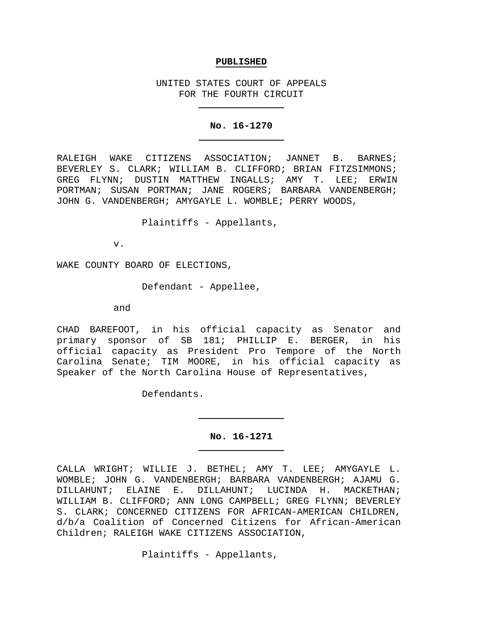#### **PUBLISHED**

UNITED STATES COURT OF APPEALS FOR THE FOURTH CIRCUIT

#### **No. 16-1270**

RALEIGH WAKE CITIZENS ASSOCIATION; JANNET B. BARNES; BEVERLEY S. CLARK; WILLIAM B. CLIFFORD; BRIAN FITZSIMMONS; GREG FLYNN; DUSTIN MATTHEW INGALLS; AMY T. LEE; ERWIN PORTMAN; SUSAN PORTMAN; JANE ROGERS; BARBARA VANDENBERGH; JOHN G. VANDENBERGH; AMYGAYLE L. WOMBLE; PERRY WOODS,

Plaintiffs - Appellants,

v.

WAKE COUNTY BOARD OF ELECTIONS,

Defendant - Appellee,

and

CHAD BAREFOOT, in his official capacity as Senator and primary sponsor of SB 181; PHILLIP E. BERGER, in his official capacity as President Pro Tempore of the North Carolina Senate; TIM MOORE, in his official capacity as Speaker of the North Carolina House of Representatives,

Defendants.

#### **No. 16-1271**

CALLA WRIGHT; WILLIE J. BETHEL; AMY T. LEE; AMYGAYLE L. WOMBLE; JOHN G. VANDENBERGH; BARBARA VANDENBERGH; AJAMU G.<br>DILLAHUNT; ELAINE E. DILLAHUNT; LUCINDA H. MACKETHAN; E. DILLAHUNT; LUCINDA H. MACKETHAN; WILLIAM B. CLIFFORD; ANN LONG CAMPBELL; GREG FLYNN; BEVERLEY S. CLARK; CONCERNED CITIZENS FOR AFRICAN-AMERICAN CHILDREN, d/b/a Coalition of Concerned Citizens for African-American Children; RALEIGH WAKE CITIZENS ASSOCIATION,

Plaintiffs - Appellants,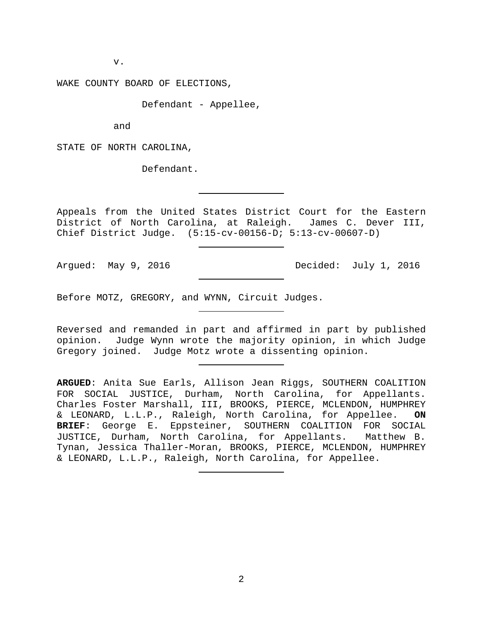v.

WAKE COUNTY BOARD OF ELECTIONS,

Defendant - Appellee,

and

STATE OF NORTH CAROLINA,

Defendant.

Appeals from the United States District Court for the Eastern District of North Carolina, at Raleigh. James C. Dever III, Chief District Judge. (5:15-cv-00156-D; 5:13-cv-00607-D)

Argued: May 9, 2016 Decided: July 1, 2016

Before MOTZ, GREGORY, and WYNN, Circuit Judges.

Reversed and remanded in part and affirmed in part by published opinion. Judge Wynn wrote the majority opinion, in which Judge Gregory joined. Judge Motz wrote a dissenting opinion.

**ARGUED**: Anita Sue Earls, Allison Jean Riggs, SOUTHERN COALITION FOR SOCIAL JUSTICE, Durham, North Carolina, for Appellants. Charles Foster Marshall, III, BROOKS, PIERCE, MCLENDON, HUMPHREY<br>& LEONARD, L.L.P., Raleigh, North Carolina, for Appellee. ON & LEONARD, L.L.P., Raleigh, North Carolina, for Appellee. **ON BRIEF**: George E. Eppsteiner, SOUTHERN COALITION FOR SOCIAL JUSTICE, Durham, North Carolina, for Appellants. Matthew B. Tynan, Jessica Thaller-Moran, BROOKS, PIERCE, MCLENDON, HUMPHREY & LEONARD, L.L.P., Raleigh, North Carolina, for Appellee.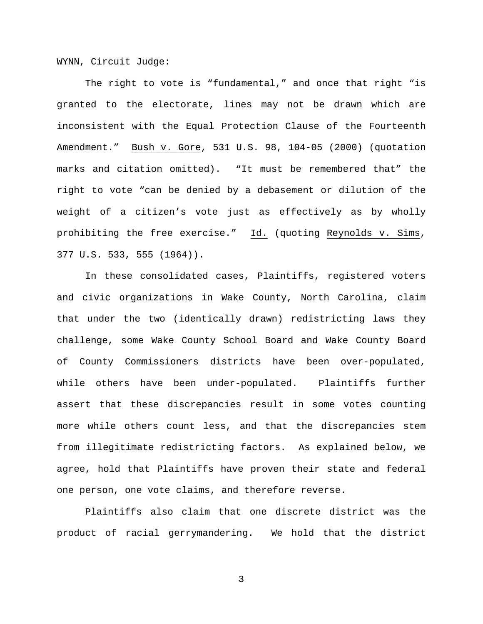WYNN, Circuit Judge:

The right to vote is "fundamental," and once that right "is granted to the electorate, lines may not be drawn which are inconsistent with the Equal Protection Clause of the Fourteenth Amendment." Bush v. Gore, 531 U.S. 98, 104-05 (2000) (quotation marks and citation omitted). "It must be remembered that" the right to vote "can be denied by a debasement or dilution of the weight of a citizen's vote just as effectively as by wholly prohibiting the free exercise." Id. (quoting Reynolds v. Sims, 377 U.S. 533, 555 (1964)).

In these consolidated cases, Plaintiffs, registered voters and civic organizations in Wake County, North Carolina, claim that under the two (identically drawn) redistricting laws they challenge, some Wake County School Board and Wake County Board of County Commissioners districts have been over-populated, while others have been under-populated. Plaintiffs further assert that these discrepancies result in some votes counting more while others count less, and that the discrepancies stem from illegitimate redistricting factors. As explained below, we agree, hold that Plaintiffs have proven their state and federal one person, one vote claims, and therefore reverse.

Plaintiffs also claim that one discrete district was the product of racial gerrymandering. We hold that the district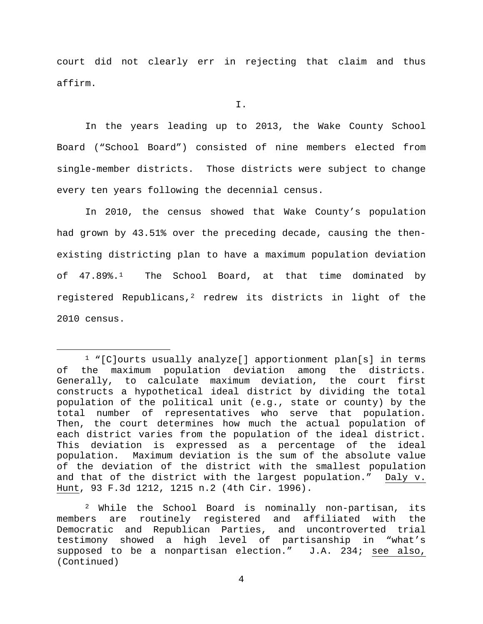court did not clearly err in rejecting that claim and thus affirm.

I.

In the years leading up to 2013, the Wake County School Board ("School Board") consisted of nine members elected from single-member districts. Those districts were subject to change every ten years following the decennial census.

In 2010, the census showed that Wake County's population had grown by 43.51% over the preceding decade, causing the thenexisting districting plan to have a maximum population deviation of  $47.89\$ <sup>[1](#page-3-0)</sup> The School Board, at that time dominated by registered Republicans,<sup>[2](#page-3-1)</sup> redrew its districts in light of the 2010 census.

<span id="page-3-1"></span><sup>2</sup> While the School Board is nominally non-partisan, its members are routinely registered and affiliated with the Democratic and Republican Parties, and uncontroverted trial testimony showed a high level of partisanship in "what's supposed to be a nonpartisan election." J.A. 234; see also, (Continued)

<span id="page-3-0"></span> <sup>1</sup> "[C]ourts usually analyze[] apportionment plan[s] in terms of the maximum population deviation among the districts. Generally, to calculate maximum deviation, the court first constructs a hypothetical ideal district by dividing the total population of the political unit (e.g., state or county) by the total number of representatives who serve that population. Then, the court determines how much the actual population of each district varies from the population of the ideal district. This deviation is expressed as a percentage of the ideal population. Maximum deviation is the sum of the absolute value of the deviation of the district with the smallest population and that of the district with the largest population." Daly v. Hunt, 93 F.3d 1212, 1215 n.2 (4th Cir. 1996).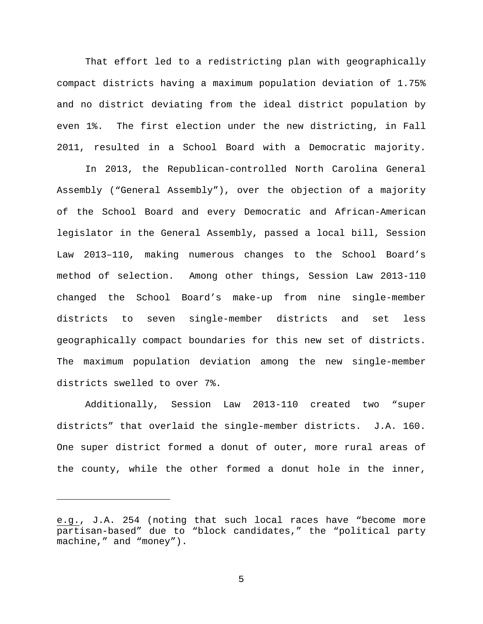That effort led to a redistricting plan with geographically compact districts having a maximum population deviation of 1.75% and no district deviating from the ideal district population by even 1%. The first election under the new districting, in Fall 2011, resulted in a School Board with a Democratic majority.

In 2013, the Republican-controlled North Carolina General Assembly ("General Assembly"), over the objection of a majority of the School Board and every Democratic and African-American legislator in the General Assembly, passed a local bill, Session Law 2013–110, making numerous changes to the School Board's method of selection. Among other things, Session Law 2013-110 changed the School Board's make-up from nine single-member districts to seven single-member districts and set less geographically compact boundaries for this new set of districts. The maximum population deviation among the new single-member districts swelled to over 7%.

Additionally, Session Law 2013-110 created two "super districts" that overlaid the single-member districts. J.A. 160. One super district formed a donut of outer, more rural areas of the county, while the other formed a donut hole in the inner,

Ĩ.

e.g., J.A. 254 (noting that such local races have "become more partisan-based" due to "block candidates," the "political party machine," and "money").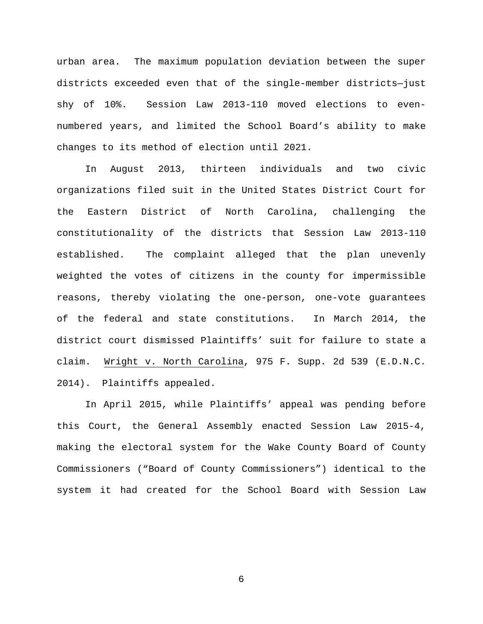urban area. The maximum population deviation between the super districts exceeded even that of the single-member districts—just shy of 10%. Session Law 2013-110 moved elections to evennumbered years, and limited the School Board's ability to make changes to its method of election until 2021.

In August 2013, thirteen individuals and two civic organizations filed suit in the United States District Court for the Eastern District of North Carolina, challenging the constitutionality of the districts that Session Law 2013-110 established. The complaint alleged that the plan unevenly weighted the votes of citizens in the county for impermissible reasons, thereby violating the one-person, one-vote guarantees of the federal and state constitutions. In March 2014, the district court dismissed Plaintiffs' suit for failure to state a claim. Wright v. North Carolina, 975 F. Supp. 2d 539 (E.D.N.C. 2014). Plaintiffs appealed.

In April 2015, while Plaintiffs' appeal was pending before this Court, the General Assembly enacted Session Law 2015-4, making the electoral system for the Wake County Board of County Commissioners ("Board of County Commissioners") identical to the system it had created for the School Board with Session Law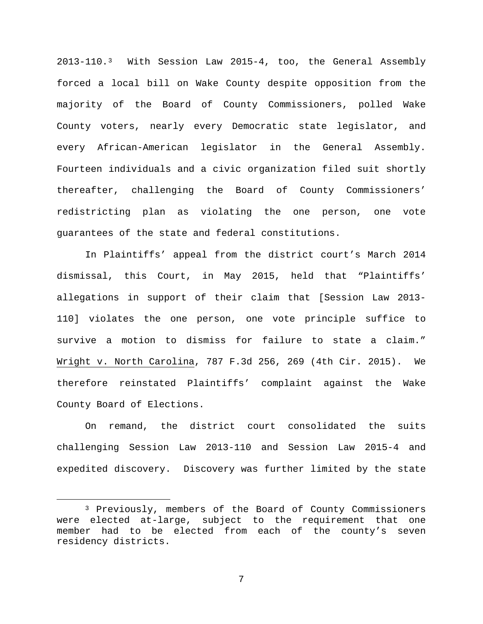2013-110.[3](#page-6-0) With Session Law 2015-4, too, the General Assembly forced a local bill on Wake County despite opposition from the majority of the Board of County Commissioners, polled Wake County voters, nearly every Democratic state legislator, and every African-American legislator in the General Assembly. Fourteen individuals and a civic organization filed suit shortly thereafter, challenging the Board of County Commissioners' redistricting plan as violating the one person, one vote guarantees of the state and federal constitutions.

In Plaintiffs' appeal from the district court's March 2014 dismissal, this Court, in May 2015, held that "Plaintiffs' allegations in support of their claim that [Session Law 2013- 110] violates the one person, one vote principle suffice to survive a motion to dismiss for failure to state a claim." Wright v. North Carolina, 787 F.3d 256, 269 (4th Cir. 2015). We therefore reinstated Plaintiffs' complaint against the Wake County Board of Elections.

On remand, the district court consolidated the suits challenging Session Law 2013-110 and Session Law 2015-4 and expedited discovery. Discovery was further limited by the state

<span id="page-6-0"></span> <sup>3</sup> Previously, members of the Board of County Commissioners were elected at-large, subject to the requirement that one member had to be elected from each of the county's seven residency districts.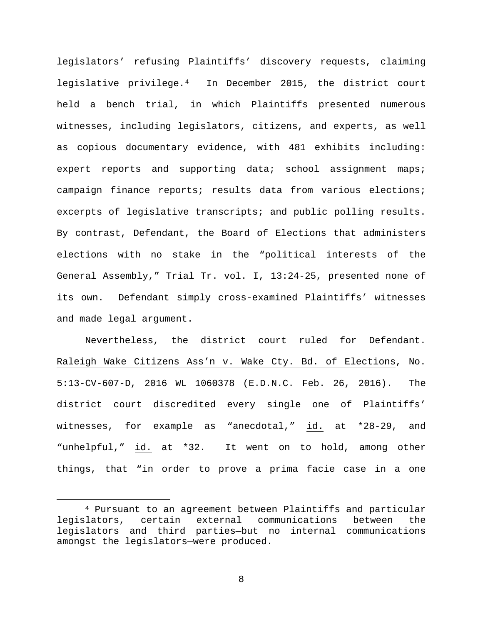legislators' refusing Plaintiffs' discovery requests, claiming legislative privilege.[4](#page-7-0) In December 2015, the district court held a bench trial, in which Plaintiffs presented numerous witnesses, including legislators, citizens, and experts, as well as copious documentary evidence, with 481 exhibits including: expert reports and supporting data; school assignment maps; campaign finance reports; results data from various elections; excerpts of legislative transcripts; and public polling results. By contrast, Defendant, the Board of Elections that administers elections with no stake in the "political interests of the General Assembly," Trial Tr. vol. I, 13:24-25, presented none of its own. Defendant simply cross-examined Plaintiffs' witnesses and made legal argument.

Nevertheless, the district court ruled for Defendant. Raleigh Wake Citizens Ass'n v. Wake Cty. Bd. of Elections, No. 5:13-CV-607-D, 2016 WL 1060378 (E.D.N.C. Feb. 26, 2016). The district court discredited every single one of Plaintiffs' witnesses, for example as "anecdotal," id. at \*28-29, and "unhelpful," id. at \*32. It went on to hold, among other things, that "in order to prove a prima facie case in a one

<span id="page-7-0"></span><sup>&</sup>lt;sup>4</sup> Pursuant to an agreement between Plaintiffs and particular<br>lators, certain external communications between the legislators, certain external communications between the legislators and third parties—but no internal communications amongst the legislators—were produced.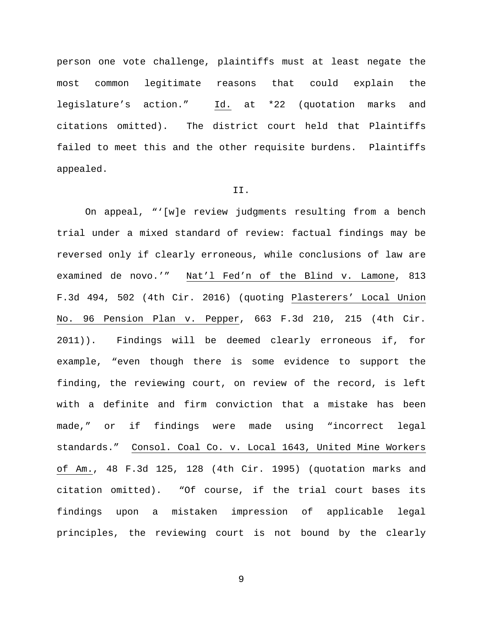person one vote challenge, plaintiffs must at least negate the most common legitimate reasons that could explain the legislature's action." Id. at \*22 (quotation marks and citations omitted). The district court held that Plaintiffs failed to meet this and the other requisite burdens. Plaintiffs appealed.

#### II.

On appeal, "'[w]e review judgments resulting from a bench trial under a mixed standard of review: factual findings may be reversed only if clearly erroneous, while conclusions of law are examined de novo.'" Nat'l Fed'n of the Blind v. Lamone, 813 F.3d 494, 502 (4th Cir. 2016) (quoting Plasterers' Local Union No. 96 Pension Plan v. Pepper, 663 F.3d 210, 215 (4th Cir. 2011)). Findings will be deemed clearly erroneous if, for example, "even though there is some evidence to support the finding, the reviewing court, on review of the record, is left with a definite and firm conviction that a mistake has been made," or if findings were made using "incorrect legal standards." Consol. Coal Co. v. Local 1643, United Mine Workers of Am., 48 F.3d 125, 128 (4th Cir. 1995) (quotation marks and citation omitted). "Of course, if the trial court bases its findings upon a mistaken impression of applicable legal principles, the reviewing court is not bound by the clearly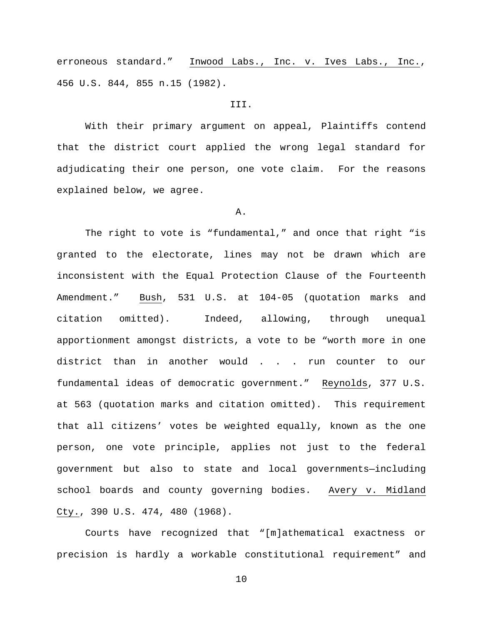erroneous standard." Inwood Labs., Inc. v. Ives Labs., Inc., 456 U.S. 844, 855 n.15 (1982).

### III.

With their primary argument on appeal, Plaintiffs contend that the district court applied the wrong legal standard for adjudicating their one person, one vote claim. For the reasons explained below, we agree.

## A.

The right to vote is "fundamental," and once that right "is granted to the electorate, lines may not be drawn which are inconsistent with the Equal Protection Clause of the Fourteenth Amendment." Bush, 531 U.S. at 104-05 (quotation marks and citation omitted). Indeed, allowing, through unequal apportionment amongst districts, a vote to be "worth more in one district than in another would . . . run counter to our fundamental ideas of democratic government." Reynolds, 377 U.S. at 563 (quotation marks and citation omitted). This requirement that all citizens' votes be weighted equally, known as the one person, one vote principle, applies not just to the federal government but also to state and local governments—including school boards and county governing bodies. Avery v. Midland Cty., 390 U.S. 474, 480 (1968).

Courts have recognized that "[m]athematical exactness or precision is hardly a workable constitutional requirement" and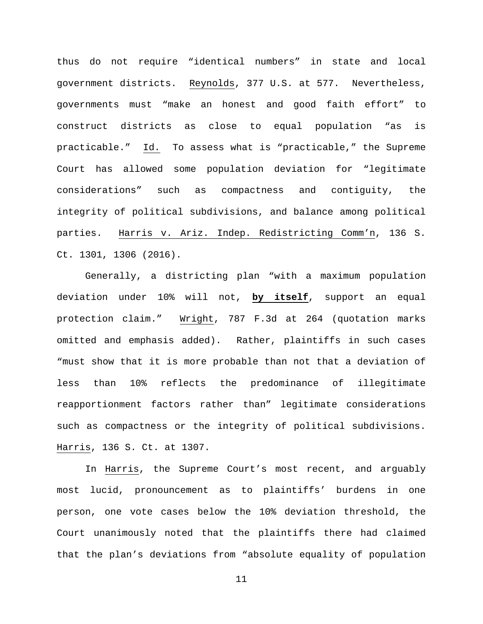thus do not require "identical numbers" in state and local government districts. Reynolds, 377 U.S. at 577. Nevertheless, governments must "make an honest and good faith effort" to construct districts as close to equal population "as is practicable." Id. To assess what is "practicable," the Supreme Court has allowed some population deviation for "legitimate considerations" such as compactness and contiguity, the integrity of political subdivisions, and balance among political parties. Harris v. Ariz. Indep. Redistricting Comm'n, 136 S. Ct. 1301, 1306 (2016).

Generally, a districting plan "with a maximum population deviation under 10% will not, **by itself**, support an equal protection claim." Wright, 787 F.3d at 264 (quotation marks omitted and emphasis added). Rather, plaintiffs in such cases "must show that it is more probable than not that a deviation of less than 10% reflects the predominance of illegitimate reapportionment factors rather than" legitimate considerations such as compactness or the integrity of political subdivisions. Harris, 136 S. Ct. at 1307.

In Harris, the Supreme Court's most recent, and arguably most lucid, pronouncement as to plaintiffs' burdens in one person, one vote cases below the 10% deviation threshold, the Court unanimously noted that the plaintiffs there had claimed that the plan's deviations from "absolute equality of population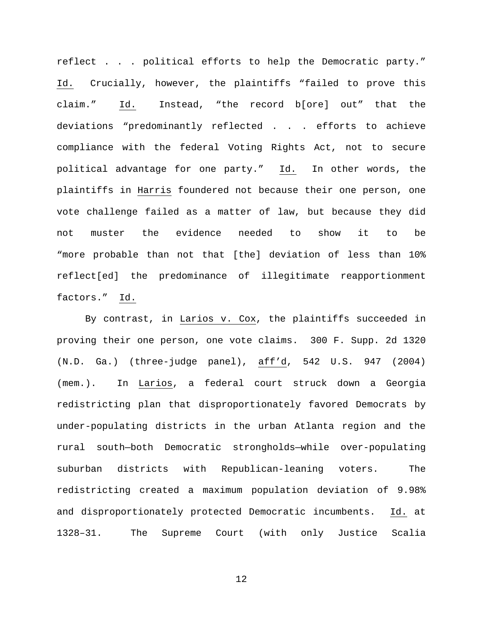reflect . . . political efforts to help the Democratic party." Id. Crucially, however, the plaintiffs "failed to prove this claim." Id. Instead, "the record b[ore] out" that the deviations "predominantly reflected . . . efforts to achieve compliance with the federal Voting Rights Act, not to secure political advantage for one party." Id. In other words, the plaintiffs in Harris foundered not because their one person, one vote challenge failed as a matter of law, but because they did not muster the evidence needed to show it to be "more probable than not that [the] deviation of less than 10% reflect[ed] the predominance of illegitimate reapportionment factors." Id.

By contrast, in Larios v. Cox, the plaintiffs succeeded in proving their one person, one vote claims. 300 F. Supp. 2d 1320 (N.D. Ga.) (three-judge panel), aff'd, 542 U.S. 947 (2004) (mem.). In Larios, a federal court struck down a Georgia redistricting plan that disproportionately favored Democrats by under-populating districts in the urban Atlanta region and the rural south—both Democratic strongholds—while over-populating suburban districts with Republican-leaning voters. The redistricting created a maximum population deviation of 9.98% and disproportionately protected Democratic incumbents. Id. at 1328–31. The Supreme Court (with only Justice Scalia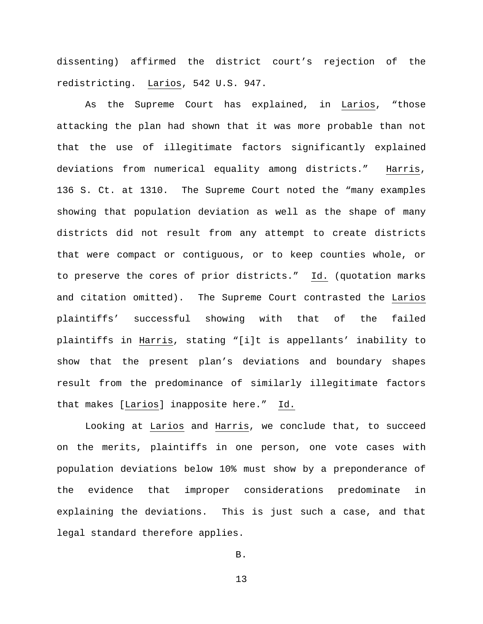dissenting) affirmed the district court's rejection of the redistricting. Larios, 542 U.S. 947.

As the Supreme Court has explained, in Larios, "those attacking the plan had shown that it was more probable than not that the use of illegitimate factors significantly explained deviations from numerical equality among districts." Harris, 136 S. Ct. at 1310. The Supreme Court noted the "many examples showing that population deviation as well as the shape of many districts did not result from any attempt to create districts that were compact or contiguous, or to keep counties whole, or to preserve the cores of prior districts." Id. (quotation marks and citation omitted). The Supreme Court contrasted the Larios plaintiffs' successful showing with that of the failed plaintiffs in Harris, stating "[i]t is appellants' inability to show that the present plan's deviations and boundary shapes result from the predominance of similarly illegitimate factors that makes [Larios] inapposite here." Id.

Looking at Larios and Harris, we conclude that, to succeed on the merits, plaintiffs in one person, one vote cases with population deviations below 10% must show by a preponderance of the evidence that improper considerations predominate in explaining the deviations. This is just such a case, and that legal standard therefore applies.

B.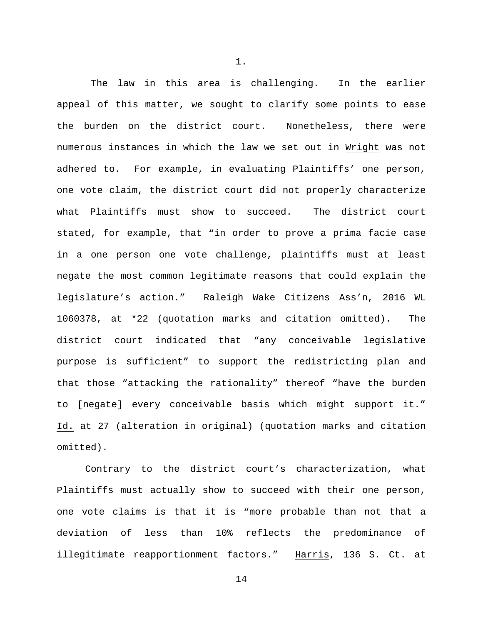The law in this area is challenging. In the earlier appeal of this matter, we sought to clarify some points to ease the burden on the district court. Nonetheless, there were numerous instances in which the law we set out in Wright was not adhered to. For example, in evaluating Plaintiffs' one person, one vote claim, the district court did not properly characterize what Plaintiffs must show to succeed. The district court stated, for example, that "in order to prove a prima facie case in a one person one vote challenge, plaintiffs must at least negate the most common legitimate reasons that could explain the legislature's action." Raleigh Wake Citizens Ass'n, 2016 WL 1060378, at \*22 (quotation marks and citation omitted). The district court indicated that "any conceivable legislative purpose is sufficient" to support the redistricting plan and that those "attacking the rationality" thereof "have the burden to [negate] every conceivable basis which might support it." Id. at 27 (alteration in original) (quotation marks and citation omitted).

Contrary to the district court's characterization, what Plaintiffs must actually show to succeed with their one person, one vote claims is that it is "more probable than not that a deviation of less than 10% reflects the predominance of illegitimate reapportionment factors." Harris, 136 S. Ct. at

14

1.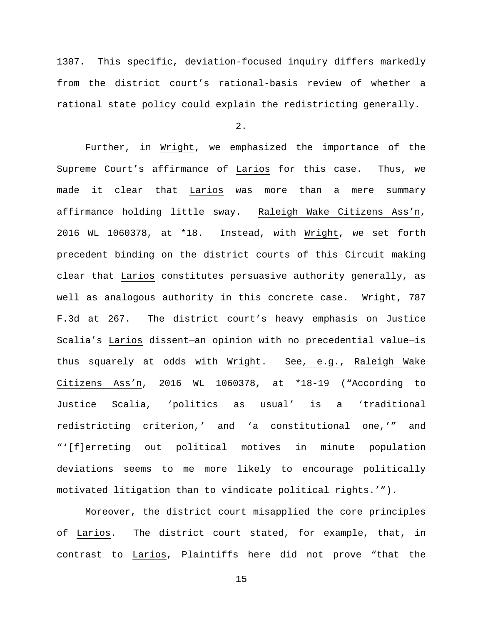1307. This specific, deviation-focused inquiry differs markedly from the district court's rational-basis review of whether a rational state policy could explain the redistricting generally.

2.

Further, in Wright, we emphasized the importance of the Supreme Court's affirmance of Larios for this case. Thus, we made it clear that Larios was more than a mere summary affirmance holding little sway. Raleigh Wake Citizens Ass'n, 2016 WL 1060378, at \*18. Instead, with Wright, we set forth precedent binding on the district courts of this Circuit making clear that Larios constitutes persuasive authority generally, as well as analogous authority in this concrete case. Wright, 787 F.3d at 267. The district court's heavy emphasis on Justice Scalia's Larios dissent—an opinion with no precedential value—is thus squarely at odds with Wright. See, e.g., Raleigh Wake Citizens Ass'n, 2016 WL 1060378, at \*18-19 ("According to Justice Scalia, 'politics as usual' is a 'traditional redistricting criterion,' and 'a constitutional one,'" and "'[f]erreting out political motives in minute population deviations seems to me more likely to encourage politically motivated litigation than to vindicate political rights.'").

Moreover, the district court misapplied the core principles of Larios. The district court stated, for example, that, in contrast to Larios, Plaintiffs here did not prove "that the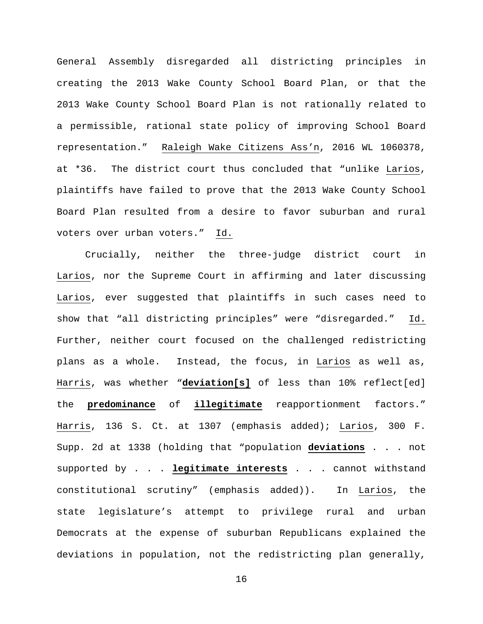General Assembly disregarded all districting principles in creating the 2013 Wake County School Board Plan, or that the 2013 Wake County School Board Plan is not rationally related to a permissible, rational state policy of improving School Board representation." Raleigh Wake Citizens Ass'n, 2016 WL 1060378, at \*36. The district court thus concluded that "unlike Larios, plaintiffs have failed to prove that the 2013 Wake County School Board Plan resulted from a desire to favor suburban and rural voters over urban voters." Id.

Crucially, neither the three-judge district court in Larios, nor the Supreme Court in affirming and later discussing Larios, ever suggested that plaintiffs in such cases need to show that "all districting principles" were "disregarded." Id. Further, neither court focused on the challenged redistricting plans as a whole. Instead, the focus, in Larios as well as, Harris, was whether "**deviation[s]** of less than 10% reflect[ed] the **predominance** of **illegitimate** reapportionment factors." Harris, 136 S. Ct. at 1307 (emphasis added); Larios, 300 F. Supp. 2d at 1338 (holding that "population **deviations** . . . not supported by . . . **legitimate interests** . . . cannot withstand constitutional scrutiny" (emphasis added)). In Larios, the state legislature's attempt to privilege rural and urban Democrats at the expense of suburban Republicans explained the deviations in population, not the redistricting plan generally,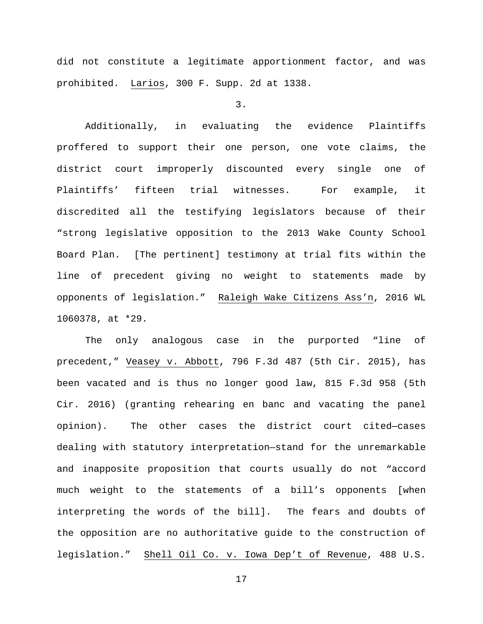did not constitute a legitimate apportionment factor, and was prohibited. Larios, 300 F. Supp. 2d at 1338.

3.

Additionally, in evaluating the evidence Plaintiffs proffered to support their one person, one vote claims, the district court improperly discounted every single one of Plaintiffs' fifteen trial witnesses. For example, it discredited all the testifying legislators because of their "strong legislative opposition to the 2013 Wake County School Board Plan. [The pertinent] testimony at trial fits within the line of precedent giving no weight to statements made by opponents of legislation." Raleigh Wake Citizens Ass'n, 2016 WL 1060378, at \*29.

The only analogous case in the purported "line of precedent," Veasey v. Abbott, 796 F.3d 487 (5th Cir. 2015), has been vacated and is thus no longer good law, 815 F.3d 958 (5th Cir. 2016) (granting rehearing en banc and vacating the panel opinion). The other cases the district court cited—cases dealing with statutory interpretation—stand for the unremarkable and inapposite proposition that courts usually do not "accord much weight to the statements of a bill's opponents [when interpreting the words of the bill]. The fears and doubts of the opposition are no authoritative guide to the construction of legislation." Shell Oil Co. v. Iowa Dep't of Revenue, 488 U.S.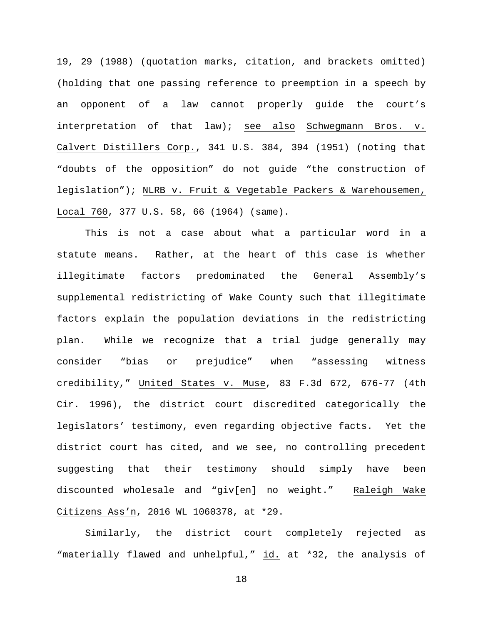19, 29 (1988) (quotation marks, citation, and brackets omitted) (holding that one passing reference to preemption in a speech by an opponent of a law cannot properly guide the court's interpretation of that law); see also Schwegmann Bros. v. Calvert Distillers Corp., 341 U.S. 384, 394 (1951) (noting that "doubts of the opposition" do not guide "the construction of legislation"); NLRB v. Fruit & Vegetable Packers & Warehousemen, Local 760, 377 U.S. 58, 66 (1964) (same).

This is not a case about what a particular word in a statute means. Rather, at the heart of this case is whether illegitimate factors predominated the General Assembly's supplemental redistricting of Wake County such that illegitimate factors explain the population deviations in the redistricting plan. While we recognize that a trial judge generally may consider "bias or prejudice" when "assessing witness credibility," United States v. Muse, 83 F.3d 672, 676-77 (4th Cir. 1996), the district court discredited categorically the legislators' testimony, even regarding objective facts. Yet the district court has cited, and we see, no controlling precedent suggesting that their testimony should simply have been discounted wholesale and "giv[en] no weight." Raleigh Wake Citizens Ass'n, 2016 WL 1060378, at \*29.

Similarly, the district court completely rejected as "materially flawed and unhelpful," id. at \*32, the analysis of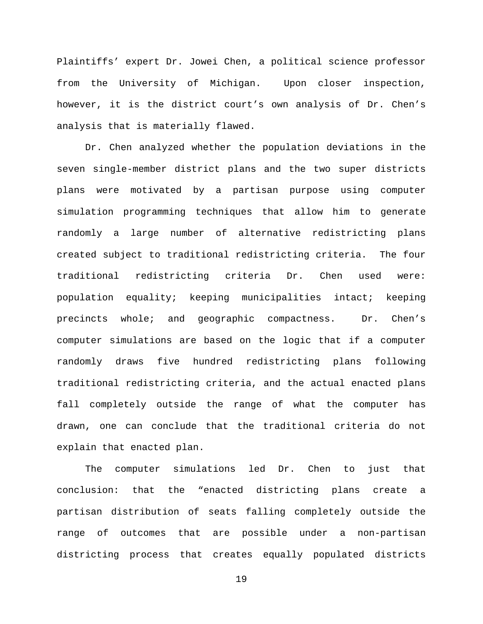Plaintiffs' expert Dr. Jowei Chen, a political science professor from the University of Michigan. Upon closer inspection, however, it is the district court's own analysis of Dr. Chen's analysis that is materially flawed.

Dr. Chen analyzed whether the population deviations in the seven single-member district plans and the two super districts plans were motivated by a partisan purpose using computer simulation programming techniques that allow him to generate randomly a large number of alternative redistricting plans created subject to traditional redistricting criteria. The four traditional redistricting criteria Dr. Chen used were: population equality; keeping municipalities intact; keeping precincts whole; and geographic compactness. Dr. Chen's computer simulations are based on the logic that if a computer randomly draws five hundred redistricting plans following traditional redistricting criteria, and the actual enacted plans fall completely outside the range of what the computer has drawn, one can conclude that the traditional criteria do not explain that enacted plan.

The computer simulations led Dr. Chen to just that conclusion: that the "enacted districting plans create a partisan distribution of seats falling completely outside the range of outcomes that are possible under a non-partisan districting process that creates equally populated districts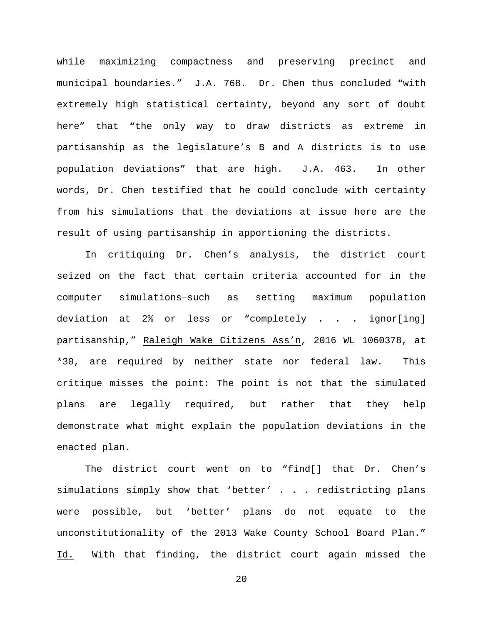while maximizing compactness and preserving precinct and municipal boundaries." J.A. 768. Dr. Chen thus concluded "with extremely high statistical certainty, beyond any sort of doubt here" that "the only way to draw districts as extreme in partisanship as the legislature's B and A districts is to use population deviations" that are high. J.A. 463. In other words, Dr. Chen testified that he could conclude with certainty from his simulations that the deviations at issue here are the result of using partisanship in apportioning the districts.

In critiquing Dr. Chen's analysis, the district court seized on the fact that certain criteria accounted for in the computer simulations—such as setting maximum population deviation at 2% or less or "completely . . . ignor[ing] partisanship," Raleigh Wake Citizens Ass'n, 2016 WL 1060378, at \*30, are required by neither state nor federal law. This critique misses the point: The point is not that the simulated plans are legally required, but rather that they help demonstrate what might explain the population deviations in the enacted plan.

The district court went on to "find[] that Dr. Chen's simulations simply show that 'better' . . . redistricting plans were possible, but 'better' plans do not equate to the unconstitutionality of the 2013 Wake County School Board Plan." Id. With that finding, the district court again missed the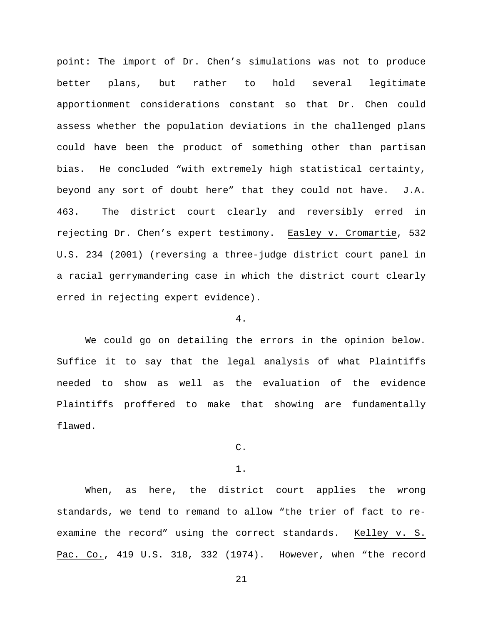point: The import of Dr. Chen's simulations was not to produce better plans, but rather to hold several legitimate apportionment considerations constant so that Dr. Chen could assess whether the population deviations in the challenged plans could have been the product of something other than partisan bias. He concluded "with extremely high statistical certainty, beyond any sort of doubt here" that they could not have. J.A. 463. The district court clearly and reversibly erred in rejecting Dr. Chen's expert testimony. Easley v. Cromartie, 532 U.S. 234 (2001) (reversing a three-judge district court panel in a racial gerrymandering case in which the district court clearly erred in rejecting expert evidence).

# 4.

We could go on detailing the errors in the opinion below. Suffice it to say that the legal analysis of what Plaintiffs needed to show as well as the evaluation of the evidence Plaintiffs proffered to make that showing are fundamentally flawed.

C.

1.

When, as here, the district court applies the wrong standards, we tend to remand to allow "the trier of fact to reexamine the record" using the correct standards. Kelley v. S. Pac. Co., 419 U.S. 318, 332 (1974). However, when "the record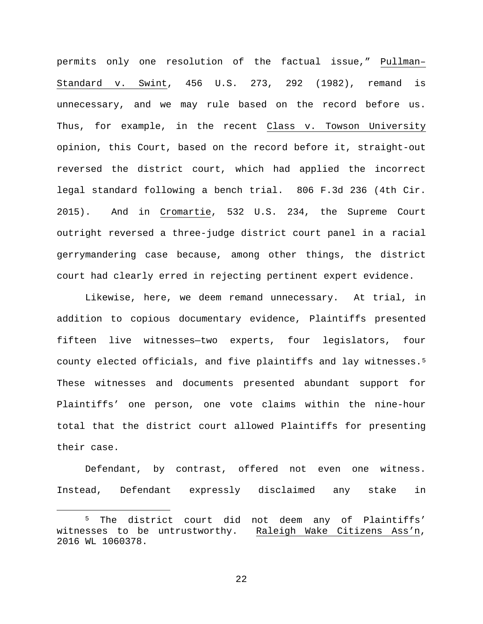permits only one resolution of the factual issue," Pullman– Standard v. Swint, 456 U.S. 273, 292 (1982), remand is unnecessary, and we may rule based on the record before us. Thus, for example, in the recent Class v. Towson University opinion, this Court, based on the record before it, straight-out reversed the district court, which had applied the incorrect legal standard following a bench trial. 806 F.3d 236 (4th Cir. 2015). And in Cromartie, 532 U.S. 234, the Supreme Court outright reversed a three-judge district court panel in a racial gerrymandering case because, among other things, the district court had clearly erred in rejecting pertinent expert evidence.

Likewise, here, we deem remand unnecessary. At trial, in addition to copious documentary evidence, Plaintiffs presented fifteen live witnesses—two experts, four legislators, four county elected officials, and five plaintiffs and lay witnesses.[5](#page-21-0) These witnesses and documents presented abundant support for Plaintiffs' one person, one vote claims within the nine-hour total that the district court allowed Plaintiffs for presenting their case.

Defendant, by contrast, offered not even one witness. Instead, Defendant expressly disclaimed any stake in

<span id="page-21-0"></span> <sup>5</sup> The district court did not deem any of Plaintiffs' witnesses to be untrustworthy. Raleigh Wake Citizens Ass'n, 2016 WL 1060378.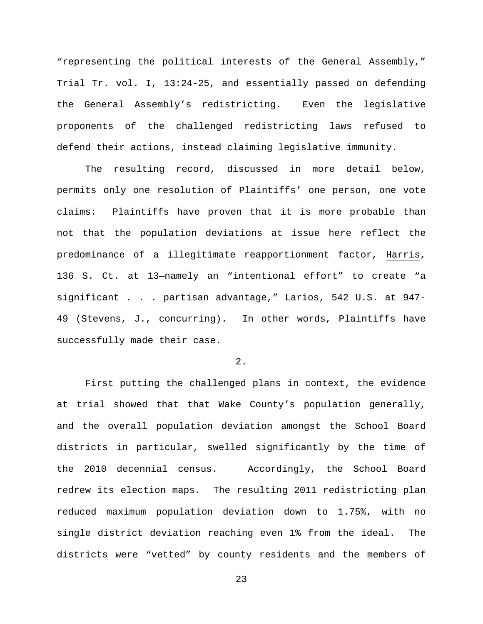"representing the political interests of the General Assembly," Trial Tr. vol. I, 13:24-25, and essentially passed on defending the General Assembly's redistricting. Even the legislative proponents of the challenged redistricting laws refused to defend their actions, instead claiming legislative immunity.

The resulting record, discussed in more detail below, permits only one resolution of Plaintiffs' one person, one vote claims: Plaintiffs have proven that it is more probable than not that the population deviations at issue here reflect the predominance of a illegitimate reapportionment factor, Harris, 136 S. Ct. at 13—namely an "intentional effort" to create "a significant . . . partisan advantage," Larios, 542 U.S. at 947- 49 (Stevens, J., concurring). In other words, Plaintiffs have successfully made their case.

2.

First putting the challenged plans in context, the evidence at trial showed that that Wake County's population generally, and the overall population deviation amongst the School Board districts in particular, swelled significantly by the time of the 2010 decennial census. Accordingly, the School Board redrew its election maps. The resulting 2011 redistricting plan reduced maximum population deviation down to 1.75%, with no single district deviation reaching even 1% from the ideal. The districts were "vetted" by county residents and the members of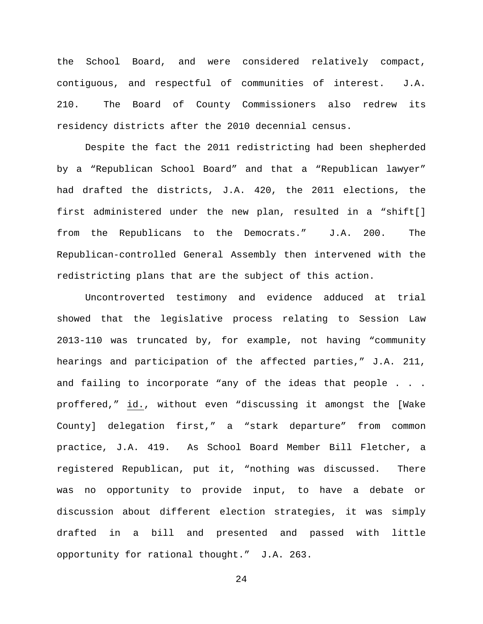the School Board, and were considered relatively compact, contiguous, and respectful of communities of interest. J.A. 210. The Board of County Commissioners also redrew its residency districts after the 2010 decennial census.

Despite the fact the 2011 redistricting had been shepherded by a "Republican School Board" and that a "Republican lawyer" had drafted the districts, J.A. 420, the 2011 elections, the first administered under the new plan, resulted in a "shift[] from the Republicans to the Democrats." J.A. 200. The Republican-controlled General Assembly then intervened with the redistricting plans that are the subject of this action.

Uncontroverted testimony and evidence adduced at trial showed that the legislative process relating to Session Law 2013-110 was truncated by, for example, not having "community hearings and participation of the affected parties," J.A. 211, and failing to incorporate "any of the ideas that people . . . proffered," id., without even "discussing it amongst the [Wake County] delegation first," a "stark departure" from common practice, J.A. 419. As School Board Member Bill Fletcher, a registered Republican, put it, "nothing was discussed. There was no opportunity to provide input, to have a debate or discussion about different election strategies, it was simply drafted in a bill and presented and passed with little opportunity for rational thought." J.A. 263.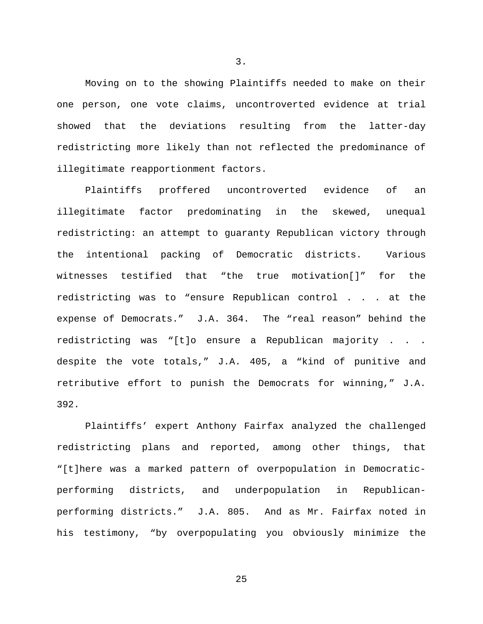Moving on to the showing Plaintiffs needed to make on their one person, one vote claims, uncontroverted evidence at trial showed that the deviations resulting from the latter-day redistricting more likely than not reflected the predominance of illegitimate reapportionment factors.

Plaintiffs proffered uncontroverted evidence of an illegitimate factor predominating in the skewed, unequal redistricting: an attempt to guaranty Republican victory through the intentional packing of Democratic districts. Various witnesses testified that "the true motivation[]" for the redistricting was to "ensure Republican control . . . at the expense of Democrats." J.A. 364. The "real reason" behind the redistricting was "[t]o ensure a Republican majority . . . despite the vote totals," J.A. 405, a "kind of punitive and retributive effort to punish the Democrats for winning," J.A. 392.

Plaintiffs' expert Anthony Fairfax analyzed the challenged redistricting plans and reported, among other things, that "[t]here was a marked pattern of overpopulation in Democraticperforming districts, and underpopulation in Republicanperforming districts." J.A. 805. And as Mr. Fairfax noted in his testimony, "by overpopulating you obviously minimize the

25

3.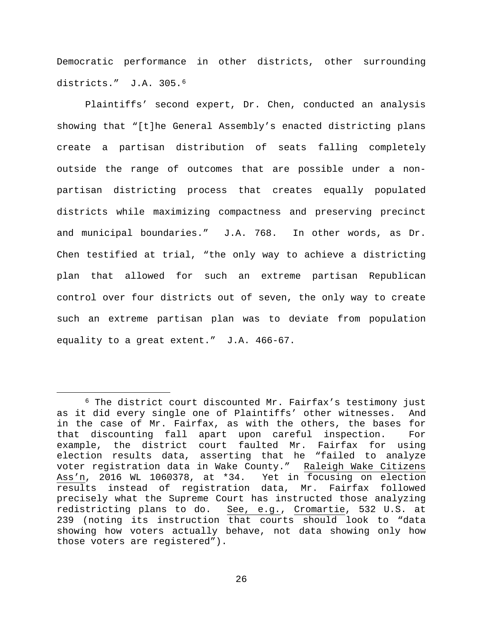Democratic performance in other districts, other surrounding districts." J.A. 305.<sup>[6](#page-25-0)</sup>

Plaintiffs' second expert, Dr. Chen, conducted an analysis showing that "[t]he General Assembly's enacted districting plans create a partisan distribution of seats falling completely outside the range of outcomes that are possible under a nonpartisan districting process that creates equally populated districts while maximizing compactness and preserving precinct and municipal boundaries." J.A. 768. In other words, as Dr. Chen testified at trial, "the only way to achieve a districting plan that allowed for such an extreme partisan Republican control over four districts out of seven, the only way to create such an extreme partisan plan was to deviate from population equality to a great extent." J.A. 466-67.

<span id="page-25-0"></span> <sup>6</sup> The district court discounted Mr. Fairfax's testimony just as it did every single one of Plaintiffs' other witnesses. And in the case of Mr. Fairfax, as with the others, the bases for that discounting fall apart upon careful inspection. For example, the district court faulted Mr. Fairfax for using election results data, asserting that he "failed to analyze voter registration data in Wake County." Raleigh Wake Citizens<br>Ass'n, 2016 WL 1060378, at \*34. Yet in focusing on election Ass'n, 2016 WL 1060378, at \*34. results instead of registration data, Mr. Fairfax followed precisely what the Supreme Court has instructed those analyzing redistricting plans to do. See, e.g., Cromartie, 532 U.S. at 239 (noting its instruction that courts should look to "data showing how voters actually behave, not data showing only how those voters are registered").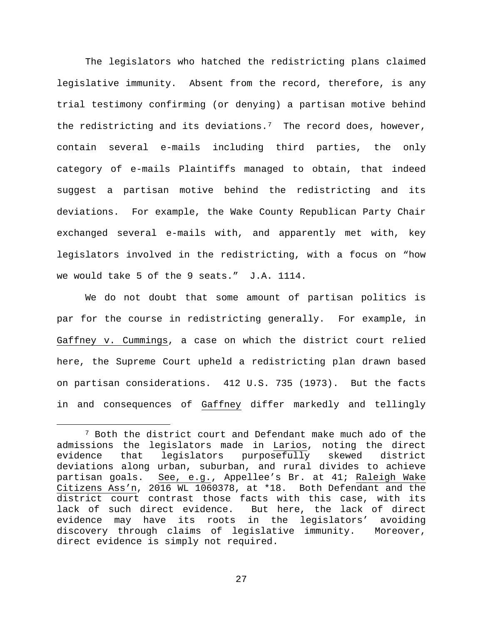The legislators who hatched the redistricting plans claimed legislative immunity. Absent from the record, therefore, is any trial testimony confirming (or denying) a partisan motive behind the redistricting and its deviations.<sup>7</sup> The record does, however, contain several e-mails including third parties, the only category of e-mails Plaintiffs managed to obtain, that indeed suggest a partisan motive behind the redistricting and its deviations. For example, the Wake County Republican Party Chair exchanged several e-mails with, and apparently met with, key legislators involved in the redistricting, with a focus on "how we would take 5 of the 9 seats." J.A. 1114.

We do not doubt that some amount of partisan politics is par for the course in redistricting generally. For example, in Gaffney v. Cummings, a case on which the district court relied here, the Supreme Court upheld a redistricting plan drawn based on partisan considerations. 412 U.S. 735 (1973). But the facts in and consequences of Gaffney differ markedly and tellingly

<span id="page-26-0"></span> <sup>7</sup> Both the district court and Defendant make much ado of the admissions the legislators made in <u>Larios</u>, noting the direct<br>evidence that legislators purposefully skewed district legislators purposefully skewed district deviations along urban, suburban, and rural divides to achieve partisan goals. See, e.g., Appellee's Br. at 41; Raleigh Wake Citizens Ass'n, 2016 WL 1060378, at \*18. Both Defendant and the district court contrast those facts with this case, with its<br>lack of such direct evidence. But here, the lack of direct lack of such direct evidence. evidence may have its roots in the legislators' avoiding discovery through claims of legislative immunity. Moreover, direct evidence is simply not required.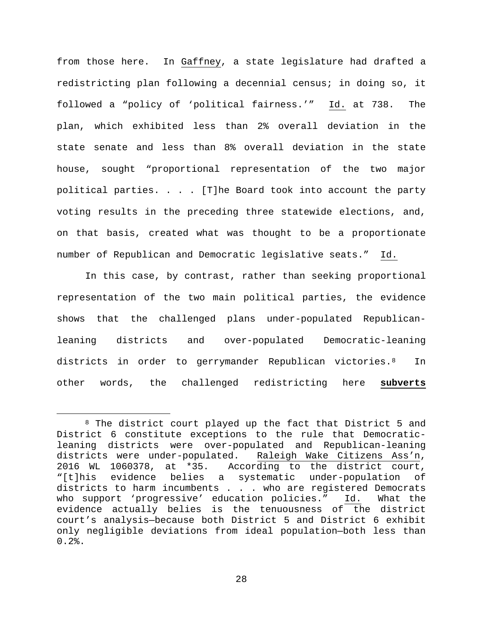from those here. In Gaffney, a state legislature had drafted a redistricting plan following a decennial census; in doing so, it followed a "policy of 'political fairness.'" Id. at 738. The plan, which exhibited less than 2% overall deviation in the state senate and less than 8% overall deviation in the state house, sought "proportional representation of the two major political parties. . . . [T]he Board took into account the party voting results in the preceding three statewide elections, and, on that basis, created what was thought to be a proportionate number of Republican and Democratic legislative seats." Id.

In this case, by contrast, rather than seeking proportional representation of the two main political parties, the evidence shows that the challenged plans under-populated Republicanleaning districts and over-populated Democratic-leaning districts in order to gerrymander Republican victories. <sup>8</sup> In other words, the challenged redistricting here **subverts**

<span id="page-27-0"></span><sup>&</sup>lt;sup>8</sup> The district court played up the fact that District 5 and District 6 constitute exceptions to the rule that Democraticleaning districts were over-populated and Republican-leaning districts were under-populated. Raleigh Wake Citizens Ass'n, 2016 WL 1060378, at \*35. According to the district court, "[t]his evidence belies a systematic under-population of districts to harm incumbents . . . who are registered Democrats who support 'progressive' education policies." Id. What the evidence actually belies is the tenuousness of the district court's analysis—because both District 5 and District 6 exhibit only negligible deviations from ideal population—both less than  $0.2%$ .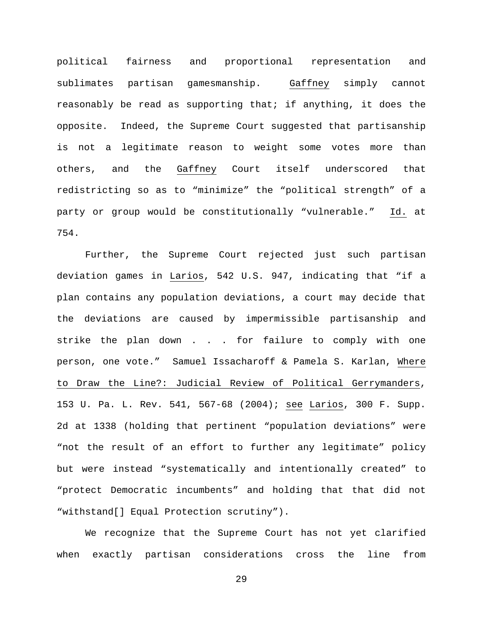political fairness and proportional representation and sublimates partisan gamesmanship. Gaffney simply cannot reasonably be read as supporting that; if anything, it does the opposite. Indeed, the Supreme Court suggested that partisanship is not a legitimate reason to weight some votes more than others, and the Gaffney Court itself underscored that redistricting so as to "minimize" the "political strength" of a party or group would be constitutionally "vulnerable." Id. at 754.

Further, the Supreme Court rejected just such partisan deviation games in Larios, 542 U.S. 947, indicating that "if a plan contains any population deviations, a court may decide that the deviations are caused by impermissible partisanship and strike the plan down . . . for failure to comply with one person, one vote." Samuel Issacharoff & Pamela S. Karlan, Where to Draw the Line?: Judicial Review of Political Gerrymanders, 153 U. Pa. L. Rev. 541, 567-68 (2004); see Larios, 300 F. Supp. 2d at 1338 (holding that pertinent "population deviations" were "not the result of an effort to further any legitimate" policy but were instead "systematically and intentionally created" to "protect Democratic incumbents" and holding that that did not "withstand[] Equal Protection scrutiny").

We recognize that the Supreme Court has not yet clarified when exactly partisan considerations cross the line from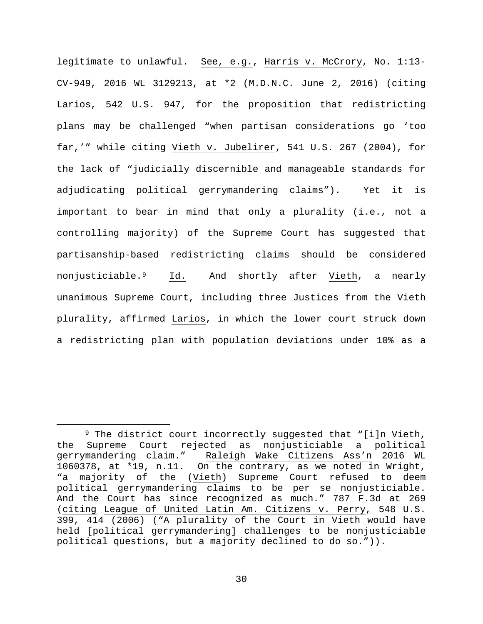legitimate to unlawful. See, e.g., Harris v. McCrory, No. 1:13-CV-949, 2016 WL 3129213, at \*2 (M.D.N.C. June 2, 2016) (citing Larios, 542 U.S. 947, for the proposition that redistricting plans may be challenged "when partisan considerations go 'too far,'" while citing Vieth v. Jubelirer, 541 U.S. 267 (2004), for the lack of "judicially discernible and manageable standards for adjudicating political gerrymandering claims"). Yet it is important to bear in mind that only a plurality (i.e., not a controlling majority) of the Supreme Court has suggested that partisanship-based redistricting claims should be considered nonjusticiable.[9](#page-29-0) Id. And shortly after Vieth, a nearly unanimous Supreme Court, including three Justices from the Vieth plurality, affirmed Larios, in which the lower court struck down a redistricting plan with population deviations under 10% as a

<span id="page-29-0"></span><sup>&</sup>lt;sup>9</sup> The district court incorrectly suggested that "[i]n Vieth, the Supreme Court rejected as nonjusticiable a political Raleigh Wake Citizens Ass'n 2016 WL 1060378, at \*19, n.11. On the contrary, as we noted in Wright, "a majority of the (Vieth) Supreme Court refused to deem political gerrymandering claims to be per se nonjusticiable. And the Court has since recognized as much." 787 F.3d at 269 (citing League of United Latin Am. Citizens v. Perry, 548 U.S. 399, 414 (2006) ("A plurality of the Court in Vieth would have held [political gerrymandering] challenges to be nonjusticiable political questions, but a majority declined to do so.")).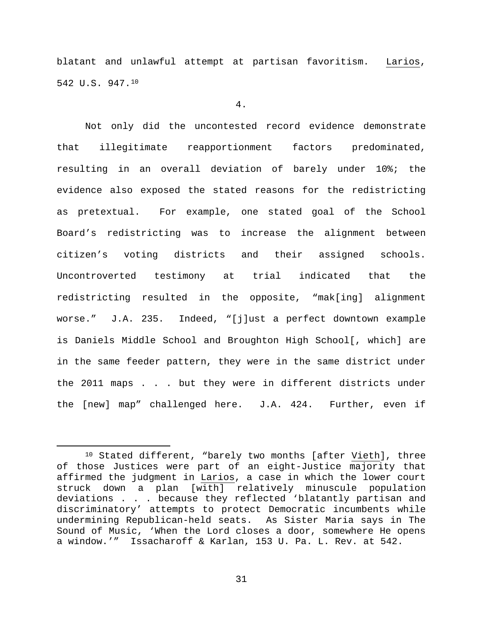blatant and unlawful attempt at partisan favoritism. Larios, 542 U.S. 947.[10](#page-30-0)

#### 4.

Not only did the uncontested record evidence demonstrate that illegitimate reapportionment factors predominated, resulting in an overall deviation of barely under 10%; the evidence also exposed the stated reasons for the redistricting as pretextual. For example, one stated goal of the School Board's redistricting was to increase the alignment between citizen's voting districts and their assigned schools. Uncontroverted testimony at trial indicated that the redistricting resulted in the opposite, "mak[ing] alignment worse." J.A. 235. Indeed, "[j]ust a perfect downtown example is Daniels Middle School and Broughton High School[, which] are in the same feeder pattern, they were in the same district under the 2011 maps . . . but they were in different districts under the [new] map" challenged here. J.A. 424. Further, even if

<span id="page-30-0"></span> <sup>10</sup> Stated different, "barely two months [after Vieth], three of those Justices were part of an eight-Justice majority that affirmed the judgment in Larios, a case in which the lower court struck down a plan [with] relatively minuscule population deviations . . . because they reflected 'blatantly partisan and discriminatory' attempts to protect Democratic incumbents while undermining Republican-held seats. As Sister Maria says in The Sound of Music, 'When the Lord closes a door, somewhere He opens a window.'" Issacharoff & Karlan, 153 U. Pa. L. Rev. at 542.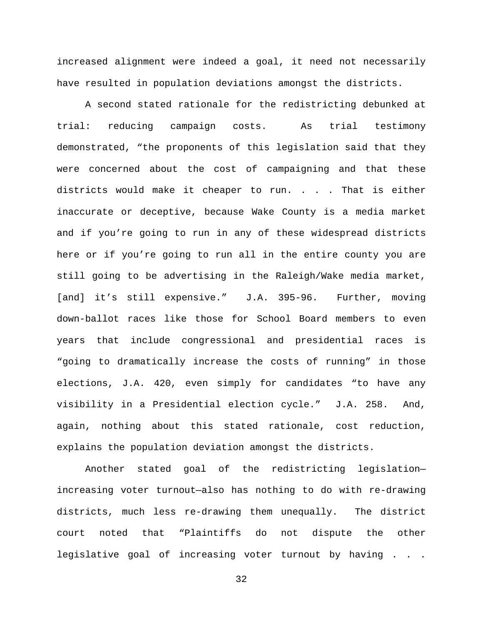increased alignment were indeed a goal, it need not necessarily have resulted in population deviations amongst the districts.

A second stated rationale for the redistricting debunked at trial: reducing campaign costs. As trial testimony demonstrated, "the proponents of this legislation said that they were concerned about the cost of campaigning and that these districts would make it cheaper to run. . . . That is either inaccurate or deceptive, because Wake County is a media market and if you're going to run in any of these widespread districts here or if you're going to run all in the entire county you are still going to be advertising in the Raleigh/Wake media market, [and] it's still expensive." J.A. 395-96. Further, moving down-ballot races like those for School Board members to even years that include congressional and presidential races is "going to dramatically increase the costs of running" in those elections, J.A. 420, even simply for candidates "to have any visibility in a Presidential election cycle." J.A. 258. And, again, nothing about this stated rationale, cost reduction, explains the population deviation amongst the districts.

Another stated goal of the redistricting legislation increasing voter turnout—also has nothing to do with re-drawing districts, much less re-drawing them unequally. The district court noted that "Plaintiffs do not dispute the other legislative goal of increasing voter turnout by having . . .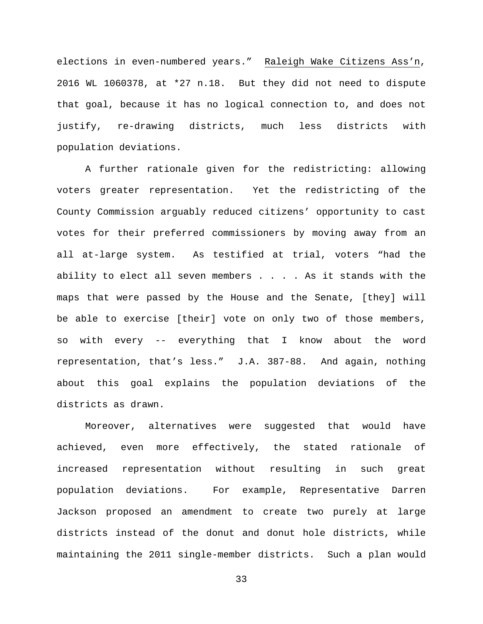elections in even-numbered years." Raleigh Wake Citizens Ass'n, 2016 WL 1060378, at \*27 n.18. But they did not need to dispute that goal, because it has no logical connection to, and does not justify, re-drawing districts, much less districts with population deviations.

A further rationale given for the redistricting: allowing voters greater representation. Yet the redistricting of the County Commission arguably reduced citizens' opportunity to cast votes for their preferred commissioners by moving away from an all at-large system. As testified at trial, voters "had the ability to elect all seven members  $\ldots$ . As it stands with the maps that were passed by the House and the Senate, [they] will be able to exercise [their] vote on only two of those members, so with every -- everything that I know about the word representation, that's less." J.A. 387-88. And again, nothing about this goal explains the population deviations of the districts as drawn.

Moreover, alternatives were suggested that would have achieved, even more effectively, the stated rationale of increased representation without resulting in such great population deviations. For example, Representative Darren Jackson proposed an amendment to create two purely at large districts instead of the donut and donut hole districts, while maintaining the 2011 single-member districts. Such a plan would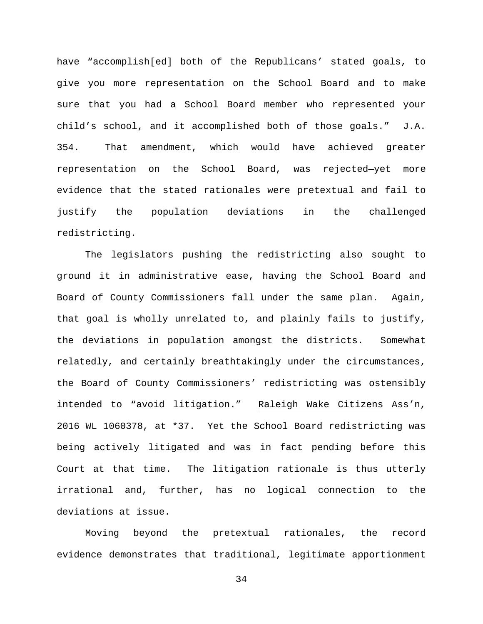have "accomplish[ed] both of the Republicans' stated goals, to give you more representation on the School Board and to make sure that you had a School Board member who represented your child's school, and it accomplished both of those goals." J.A. 354. That amendment, which would have achieved greater representation on the School Board, was rejected—yet more evidence that the stated rationales were pretextual and fail to justify the population deviations in the challenged redistricting.

The legislators pushing the redistricting also sought to ground it in administrative ease, having the School Board and Board of County Commissioners fall under the same plan. Again, that goal is wholly unrelated to, and plainly fails to justify, the deviations in population amongst the districts. Somewhat relatedly, and certainly breathtakingly under the circumstances, the Board of County Commissioners' redistricting was ostensibly intended to "avoid litigation." Raleigh Wake Citizens Ass'n, 2016 WL 1060378, at \*37. Yet the School Board redistricting was being actively litigated and was in fact pending before this Court at that time. The litigation rationale is thus utterly irrational and, further, has no logical connection to the deviations at issue.

Moving beyond the pretextual rationales, the record evidence demonstrates that traditional, legitimate apportionment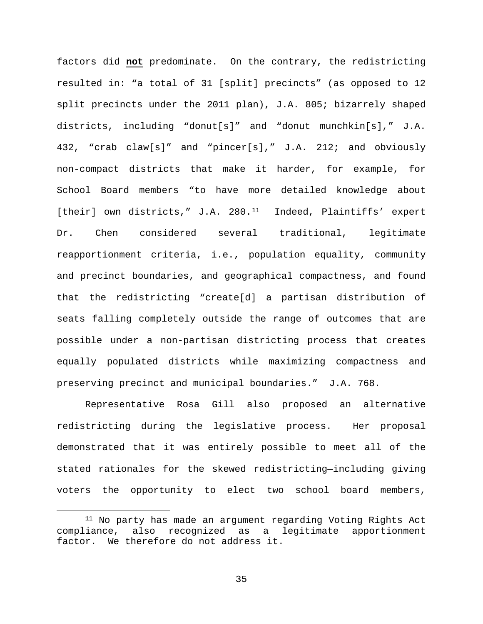factors did **not** predominate. On the contrary, the redistricting resulted in: "a total of 31 [split] precincts" (as opposed to 12 split precincts under the 2011 plan), J.A. 805; bizarrely shaped districts, including "donut[s]" and "donut munchkin[s]," J.A. 432, "crab claw[s]" and "pincer[s]," J.A. 212; and obviously non-compact districts that make it harder, for example, for School Board members "to have more detailed knowledge about [their] own districts," J.A. 280.<sup>[11](#page-34-0)</sup> Indeed, Plaintiffs' expert Dr. Chen considered several traditional, legitimate reapportionment criteria, i.e., population equality, community and precinct boundaries, and geographical compactness, and found that the redistricting "create[d] a partisan distribution of seats falling completely outside the range of outcomes that are possible under a non-partisan districting process that creates equally populated districts while maximizing compactness and preserving precinct and municipal boundaries." J.A. 768.

Representative Rosa Gill also proposed an alternative redistricting during the legislative process. Her proposal demonstrated that it was entirely possible to meet all of the stated rationales for the skewed redistricting—including giving voters the opportunity to elect two school board members,

<span id="page-34-0"></span><sup>&</sup>lt;sup>11</sup> No party has made an argument regarding Voting Rights Act compliance, also recognized as a legitimate apportionment factor. We therefore do not address it.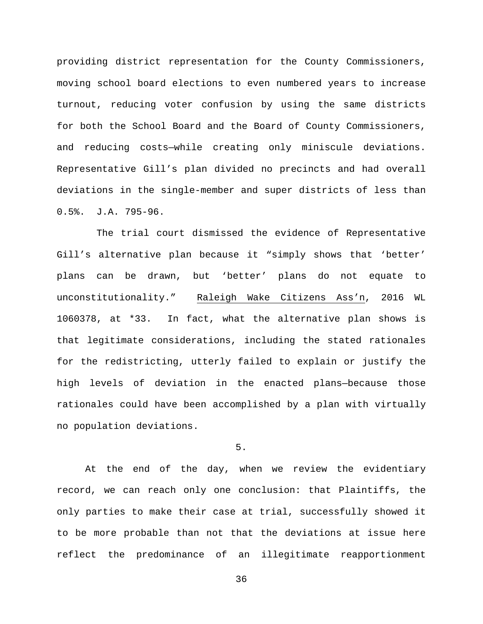providing district representation for the County Commissioners, moving school board elections to even numbered years to increase turnout, reducing voter confusion by using the same districts for both the School Board and the Board of County Commissioners, and reducing costs—while creating only miniscule deviations. Representative Gill's plan divided no precincts and had overall deviations in the single-member and super districts of less than 0.5%. J.A. 795-96.

 The trial court dismissed the evidence of Representative Gill's alternative plan because it "simply shows that 'better' plans can be drawn, but 'better' plans do not equate to unconstitutionality." Raleigh Wake Citizens Ass'n, 2016 WL 1060378, at \*33. In fact, what the alternative plan shows is that legitimate considerations, including the stated rationales for the redistricting, utterly failed to explain or justify the high levels of deviation in the enacted plans—because those rationales could have been accomplished by a plan with virtually no population deviations.

# 5.

At the end of the day, when we review the evidentiary record, we can reach only one conclusion: that Plaintiffs, the only parties to make their case at trial, successfully showed it to be more probable than not that the deviations at issue here reflect the predominance of an illegitimate reapportionment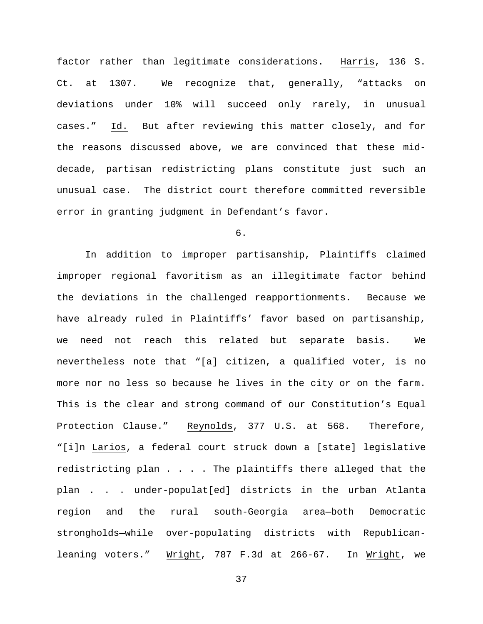factor rather than legitimate considerations. Harris, 136 S. Ct. at 1307. We recognize that, generally, "attacks on deviations under 10% will succeed only rarely, in unusual cases." Id. But after reviewing this matter closely, and for the reasons discussed above, we are convinced that these middecade, partisan redistricting plans constitute just such an unusual case. The district court therefore committed reversible error in granting judgment in Defendant's favor.

6.

In addition to improper partisanship, Plaintiffs claimed improper regional favoritism as an illegitimate factor behind the deviations in the challenged reapportionments. Because we have already ruled in Plaintiffs' favor based on partisanship, we need not reach this related but separate basis. We nevertheless note that "[a] citizen, a qualified voter, is no more nor no less so because he lives in the city or on the farm. This is the clear and strong command of our Constitution's Equal Protection Clause." Reynolds, 377 U.S. at 568. Therefore, "[i]n Larios, a federal court struck down a [state] legislative redistricting plan . . . . The plaintiffs there alleged that the plan . . . under-populat[ed] districts in the urban Atlanta region and the rural south-Georgia area—both Democratic strongholds—while over-populating districts with Republicanleaning voters." Wright, 787 F.3d at 266-67. In Wright, we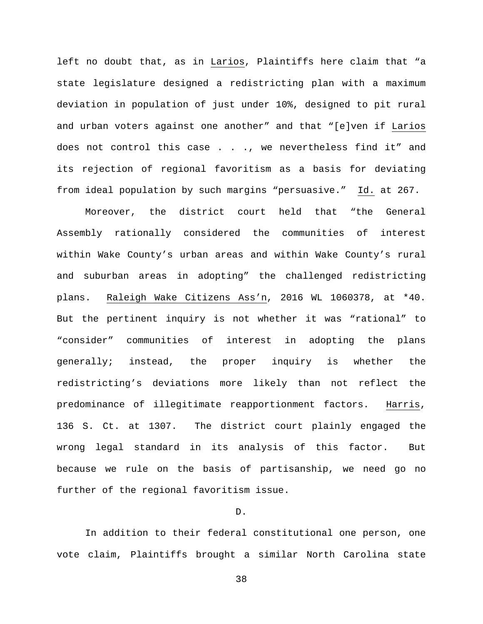left no doubt that, as in Larios, Plaintiffs here claim that "a state legislature designed a redistricting plan with a maximum deviation in population of just under 10%, designed to pit rural and urban voters against one another" and that "[e]ven if Larios does not control this case . . ., we nevertheless find it" and its rejection of regional favoritism as a basis for deviating from ideal population by such margins "persuasive." Id. at 267.

Moreover, the district court held that "the General Assembly rationally considered the communities of interest within Wake County's urban areas and within Wake County's rural and suburban areas in adopting" the challenged redistricting plans. Raleigh Wake Citizens Ass'n, 2016 WL 1060378, at \*40. But the pertinent inquiry is not whether it was "rational" to "consider" communities of interest in adopting the plans generally; instead, the proper inquiry is whether the redistricting's deviations more likely than not reflect the predominance of illegitimate reapportionment factors. Harris, 136 S. Ct. at 1307. The district court plainly engaged the wrong legal standard in its analysis of this factor. But because we rule on the basis of partisanship, we need go no further of the regional favoritism issue.

### D.

In addition to their federal constitutional one person, one vote claim, Plaintiffs brought a similar North Carolina state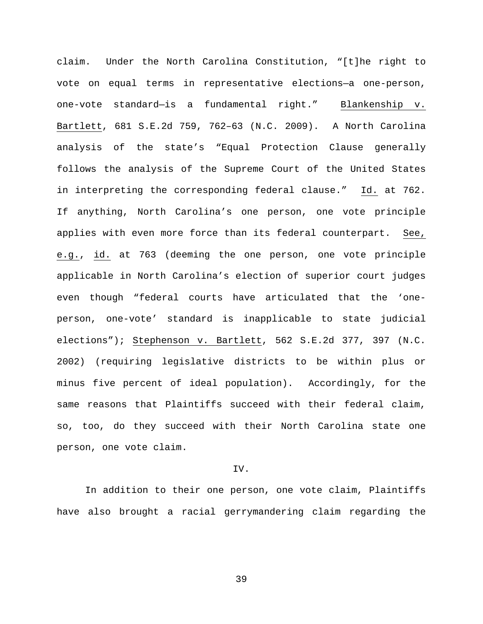claim. Under the North Carolina Constitution, "[t]he right to vote on equal terms in representative elections—a one-person, one-vote standard—is a fundamental right." Blankenship v. Bartlett, 681 S.E.2d 759, 762–63 (N.C. 2009). A North Carolina analysis of the state's "Equal Protection Clause generally follows the analysis of the Supreme Court of the United States in interpreting the corresponding federal clause." Id. at 762. If anything, North Carolina's one person, one vote principle applies with even more force than its federal counterpart. See, e.g., id. at 763 (deeming the one person, one vote principle applicable in North Carolina's election of superior court judges even though "federal courts have articulated that the 'oneperson, one-vote' standard is inapplicable to state judicial elections"); Stephenson v. Bartlett, 562 S.E.2d 377, 397 (N.C. 2002) (requiring legislative districts to be within plus or minus five percent of ideal population). Accordingly, for the same reasons that Plaintiffs succeed with their federal claim, so, too, do they succeed with their North Carolina state one person, one vote claim.

# IV.

In addition to their one person, one vote claim, Plaintiffs have also brought a racial gerrymandering claim regarding the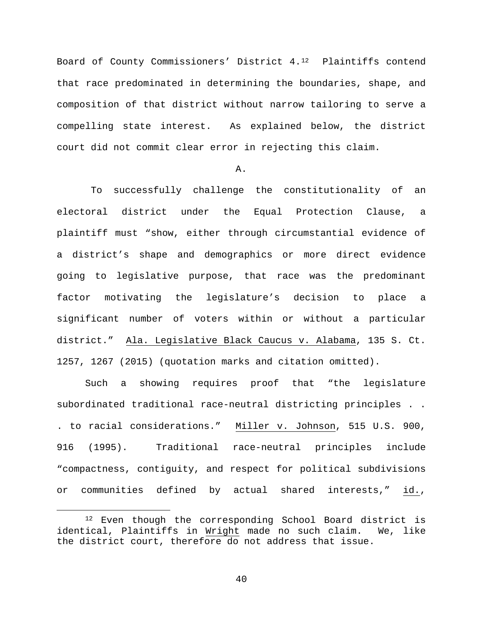Board of County Commissioners' District 4.[12](#page-39-0) Plaintiffs contend that race predominated in determining the boundaries, shape, and composition of that district without narrow tailoring to serve a compelling state interest. As explained below, the district court did not commit clear error in rejecting this claim.

# A.

To successfully challenge the constitutionality of an electoral district under the Equal Protection Clause, a plaintiff must "show, either through circumstantial evidence of a district's shape and demographics or more direct evidence going to legislative purpose, that race was the predominant factor motivating the legislature's decision to place a significant number of voters within or without a particular district." Ala. Legislative Black Caucus v. Alabama, 135 S. Ct. 1257, 1267 (2015) (quotation marks and citation omitted).

Such a showing requires proof that "the legislature subordinated traditional race-neutral districting principles . . . to racial considerations." Miller v. Johnson, 515 U.S. 900, 916 (1995). Traditional race-neutral principles include "compactness, contiguity, and respect for political subdivisions or communities defined by actual shared interests," id.,

<span id="page-39-0"></span> <sup>12</sup> Even though the corresponding School Board district is identical, Plaintiffs in Wright made no such claim. We, like the district court, therefore do not address that issue.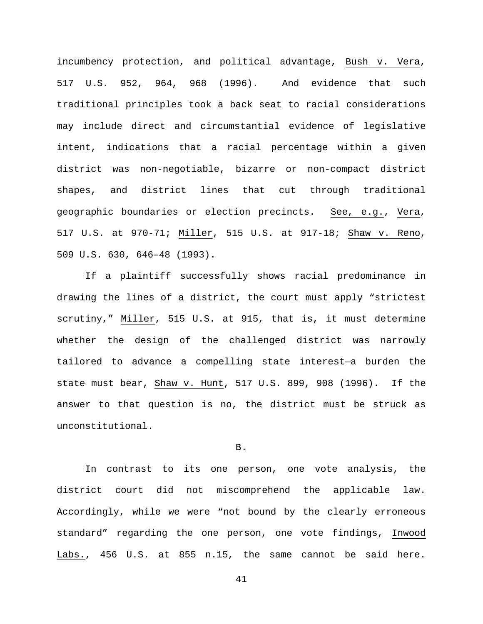incumbency protection, and political advantage, Bush v. Vera, 517 U.S. 952, 964, 968 (1996). And evidence that such traditional principles took a back seat to racial considerations may include direct and circumstantial evidence of legislative intent, indications that a racial percentage within a given district was non-negotiable, bizarre or non-compact district shapes, and district lines that cut through traditional geographic boundaries or election precincts. See, e.g., Vera, 517 U.S. at 970-71; Miller, 515 U.S. at 917-18; Shaw v. Reno, 509 U.S. 630, 646–48 (1993).

If a plaintiff successfully shows racial predominance in drawing the lines of a district, the court must apply "strictest scrutiny," Miller, 515 U.S. at 915, that is, it must determine whether the design of the challenged district was narrowly tailored to advance a compelling state interest—a burden the state must bear, Shaw v. Hunt, 517 U.S. 899, 908 (1996). If the answer to that question is no, the district must be struck as unconstitutional.

### B.

In contrast to its one person, one vote analysis, the district court did not miscomprehend the applicable law. Accordingly, while we were "not bound by the clearly erroneous standard" regarding the one person, one vote findings, Inwood Labs., 456 U.S. at 855 n.15, the same cannot be said here.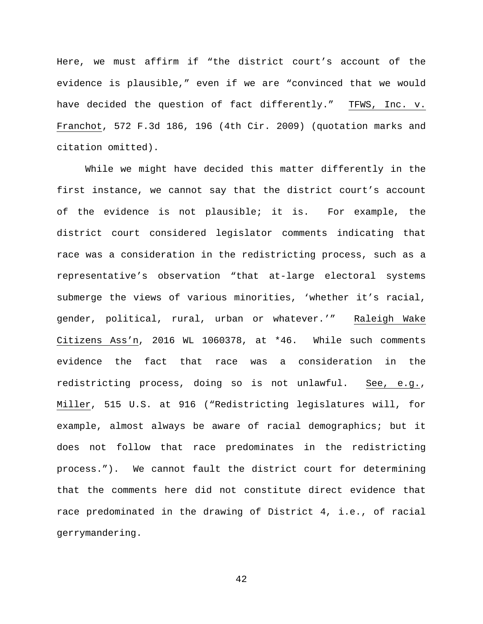Here, we must affirm if "the district court's account of the evidence is plausible," even if we are "convinced that we would have decided the question of fact differently." TFWS, Inc. v. Franchot, 572 F.3d 186, 196 (4th Cir. 2009) (quotation marks and citation omitted).

While we might have decided this matter differently in the first instance, we cannot say that the district court's account of the evidence is not plausible; it is. For example, the district court considered legislator comments indicating that race was a consideration in the redistricting process, such as a representative's observation "that at-large electoral systems submerge the views of various minorities, 'whether it's racial, gender, political, rural, urban or whatever.'" Raleigh Wake Citizens Ass'n, 2016 WL 1060378, at \*46. While such comments evidence the fact that race was a consideration in the redistricting process, doing so is not unlawful. See, e.g., Miller, 515 U.S. at 916 ("Redistricting legislatures will, for example, almost always be aware of racial demographics; but it does not follow that race predominates in the redistricting process."). We cannot fault the district court for determining that the comments here did not constitute direct evidence that race predominated in the drawing of District 4, i.e., of racial gerrymandering.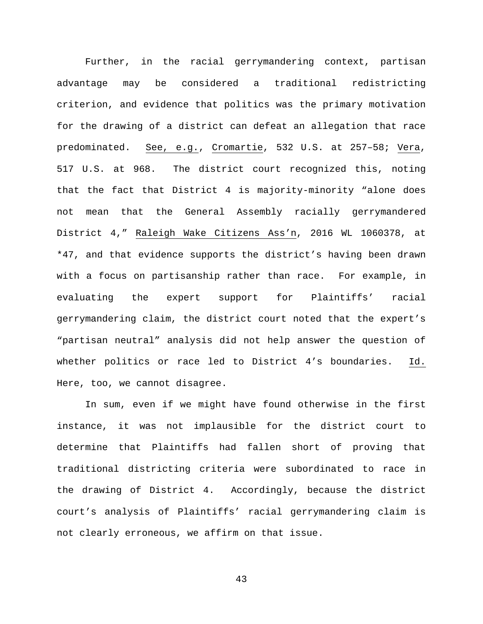Further, in the racial gerrymandering context, partisan advantage may be considered a traditional redistricting criterion, and evidence that politics was the primary motivation for the drawing of a district can defeat an allegation that race predominated. See, e.g., Cromartie, 532 U.S. at 257–58; Vera, 517 U.S. at 968. The district court recognized this, noting that the fact that District 4 is majority-minority "alone does not mean that the General Assembly racially gerrymandered District 4," Raleigh Wake Citizens Ass'n, 2016 WL 1060378, at \*47, and that evidence supports the district's having been drawn with a focus on partisanship rather than race. For example, in evaluating the expert support for Plaintiffs' racial gerrymandering claim, the district court noted that the expert's "partisan neutral" analysis did not help answer the question of whether politics or race led to District 4's boundaries. Id. Here, too, we cannot disagree.

In sum, even if we might have found otherwise in the first instance, it was not implausible for the district court to determine that Plaintiffs had fallen short of proving that traditional districting criteria were subordinated to race in the drawing of District 4. Accordingly, because the district court's analysis of Plaintiffs' racial gerrymandering claim is not clearly erroneous, we affirm on that issue.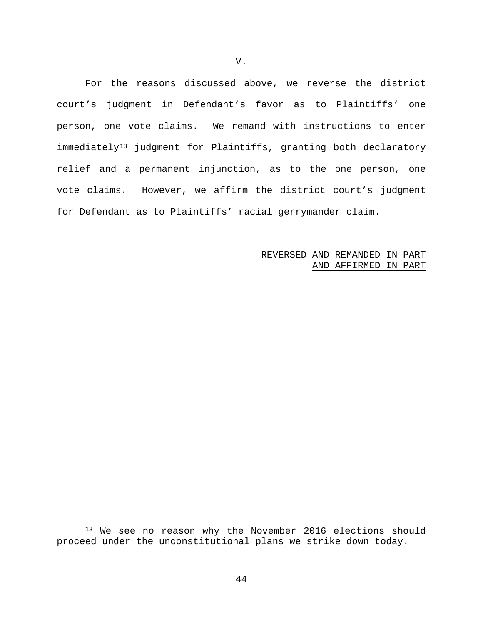For the reasons discussed above, we reverse the district court's judgment in Defendant's favor as to Plaintiffs' one person, one vote claims. We remand with instructions to enter immediately<sup>[13](#page-43-0)</sup> judgment for Plaintiffs, granting both declaratory relief and a permanent injunction, as to the one person, one vote claims. However, we affirm the district court's judgment for Defendant as to Plaintiffs' racial gerrymander claim.

> REVERSED AND REMANDED IN PART AND AFFIRMED IN PART

<span id="page-43-0"></span><sup>&</sup>lt;sup>13</sup> We see no reason why the November 2016 elections should proceed under the unconstitutional plans we strike down today.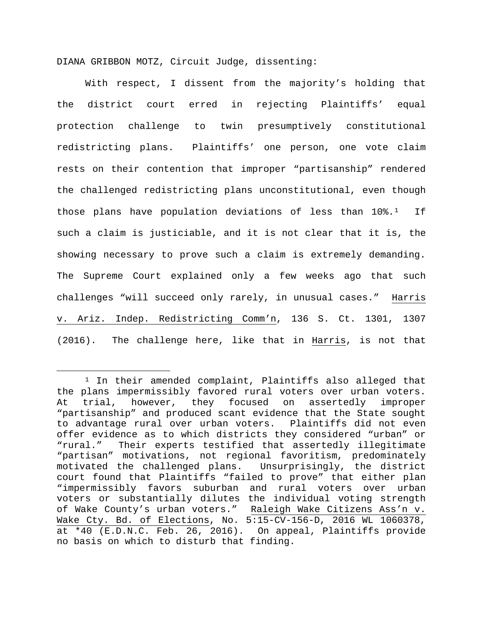DIANA GRIBBON MOTZ, Circuit Judge, dissenting:

With respect, I dissent from the majority's holding that the district court erred in rejecting Plaintiffs' equal protection challenge to twin presumptively constitutional redistricting plans. Plaintiffs' one person, one vote claim rests on their contention that improper "partisanship" rendered the challenged redistricting plans unconstitutional, even though those plans have population deviations of less than  $10\$  $10\$ \*.<sup>1</sup> If such a claim is justiciable, and it is not clear that it is, the showing necessary to prove such a claim is extremely demanding. The Supreme Court explained only a few weeks ago that such challenges "will succeed only rarely, in unusual cases." Harris v. Ariz. Indep. Redistricting Comm'n, 136 S. Ct. 1301, 1307 (2016). The challenge here, like that in Harris, is not that

<span id="page-44-0"></span><sup>&</sup>lt;sup>1</sup> In their amended complaint, Plaintiffs also alleged that the plans impermissibly favored rural voters over urban voters.<br>At trial, however, they focused on assertedly improper At trial, however, they focused on "partisanship" and produced scant evidence that the State sought to advantage rural over urban voters. Plaintiffs did not even offer evidence as to which districts they considered "urban" or "rural." Their experts testified that assertedly illegitimate "partisan" motivations, not regional favoritism, predominately motivated the challenged plans. Unsurprisingly, the district court found that Plaintiffs "failed to prove" that either plan "impermissibly favors suburban and rural voters over urban voters or substantially dilutes the individual voting strength of Wake County's urban voters." Raleigh Wake Citizens Ass'n v. Wake Cty. Bd. of Elections, No. 5:15-CV-156-D, 2016 WL 1060378, at \*40 (E.D.N.C. Feb. 26, 2016). On appeal, Plaintiffs provide no basis on which to disturb that finding.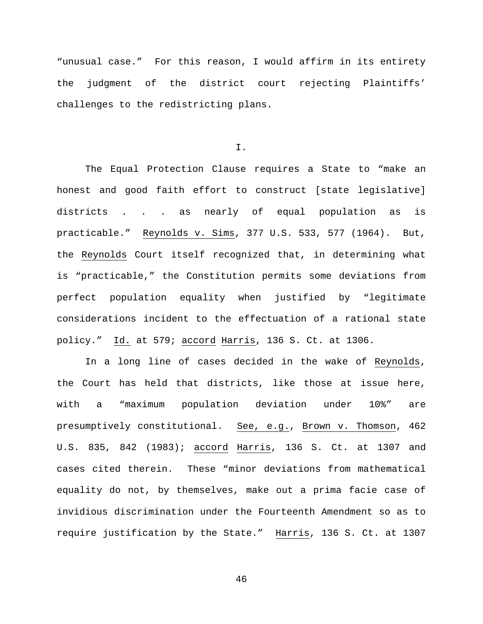"unusual case." For this reason, I would affirm in its entirety the judgment of the district court rejecting Plaintiffs' challenges to the redistricting plans.

I.

The Equal Protection Clause requires a State to "make an honest and good faith effort to construct [state legislative] districts . . . as nearly of equal population as is practicable." Reynolds v. Sims, 377 U.S. 533, 577 (1964). But, the Reynolds Court itself recognized that, in determining what is "practicable," the Constitution permits some deviations from perfect population equality when justified by "legitimate considerations incident to the effectuation of a rational state policy." Id. at 579; accord Harris, 136 S. Ct. at 1306.

In a long line of cases decided in the wake of Reynolds, the Court has held that districts, like those at issue here, with a "maximum population deviation under 10%" are presumptively constitutional. See, e.g., Brown v. Thomson, 462 U.S. 835, 842 (1983); accord Harris, 136 S. Ct. at 1307 and cases cited therein. These "minor deviations from mathematical equality do not, by themselves, make out a prima facie case of invidious discrimination under the Fourteenth Amendment so as to require justification by the State." Harris, 136 S. Ct. at 1307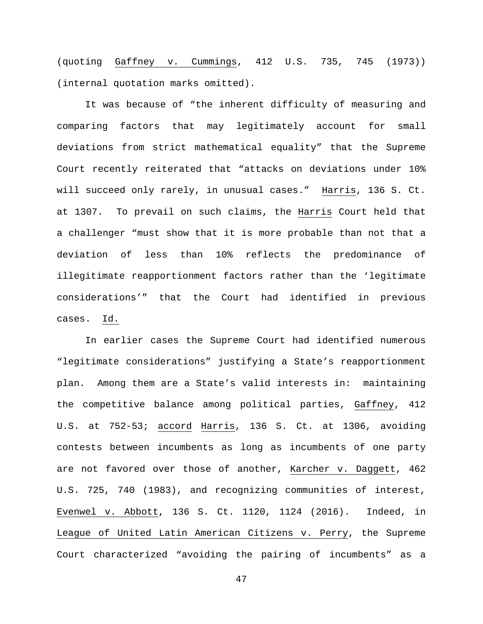(quoting Gaffney v. Cummings, 412 U.S. 735, 745 (1973)) (internal quotation marks omitted).

It was because of "the inherent difficulty of measuring and comparing factors that may legitimately account for small deviations from strict mathematical equality" that the Supreme Court recently reiterated that "attacks on deviations under 10% will succeed only rarely, in unusual cases." Harris, 136 S. Ct. at 1307. To prevail on such claims, the Harris Court held that a challenger "must show that it is more probable than not that a deviation of less than 10% reflects the predominance of illegitimate reapportionment factors rather than the 'legitimate considerations'" that the Court had identified in previous cases. Id.

In earlier cases the Supreme Court had identified numerous "legitimate considerations" justifying a State's reapportionment plan. Among them are a State's valid interests in: maintaining the competitive balance among political parties, Gaffney, 412 U.S. at 752-53; accord Harris, 136 S. Ct. at 1306, avoiding contests between incumbents as long as incumbents of one party are not favored over those of another, Karcher v. Daggett, 462 U.S. 725, 740 (1983), and recognizing communities of interest, Evenwel v. Abbott, 136 S. Ct. 1120, 1124 (2016). Indeed, in League of United Latin American Citizens v. Perry, the Supreme Court characterized "avoiding the pairing of incumbents" as a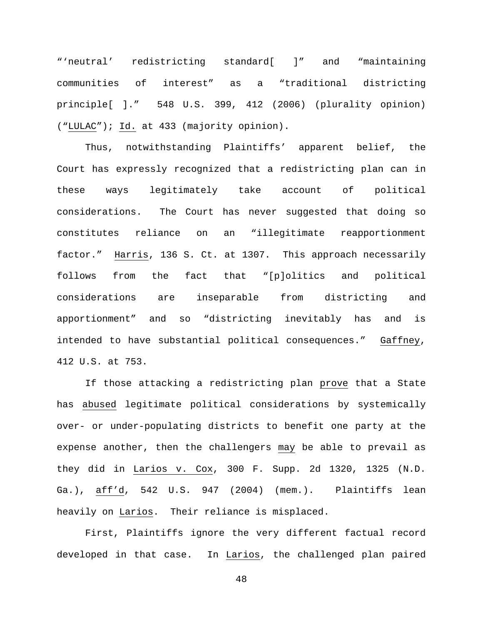"'neutral' redistricting standard[ ]" and "maintaining communities of interest" as a "traditional districting principle[ ]." 548 U.S. 399, 412 (2006) (plurality opinion) ("LULAC"); Id. at 433 (majority opinion).

Thus, notwithstanding Plaintiffs' apparent belief, the Court has expressly recognized that a redistricting plan can in these ways legitimately take account of political considerations. The Court has never suggested that doing so constitutes reliance on an "illegitimate reapportionment factor." Harris, 136 S. Ct. at 1307. This approach necessarily follows from the fact that "[p]olitics and political considerations are inseparable from districting and apportionment" and so "districting inevitably has and is intended to have substantial political consequences." Gaffney, 412 U.S. at 753.

If those attacking a redistricting plan prove that a State has abused legitimate political considerations by systemically over- or under-populating districts to benefit one party at the expense another, then the challengers may be able to prevail as they did in Larios v. Cox, 300 F. Supp. 2d 1320, 1325 (N.D. Ga.), aff'd, 542 U.S. 947 (2004) (mem.). Plaintiffs lean heavily on Larios. Their reliance is misplaced.

First, Plaintiffs ignore the very different factual record developed in that case. In Larios, the challenged plan paired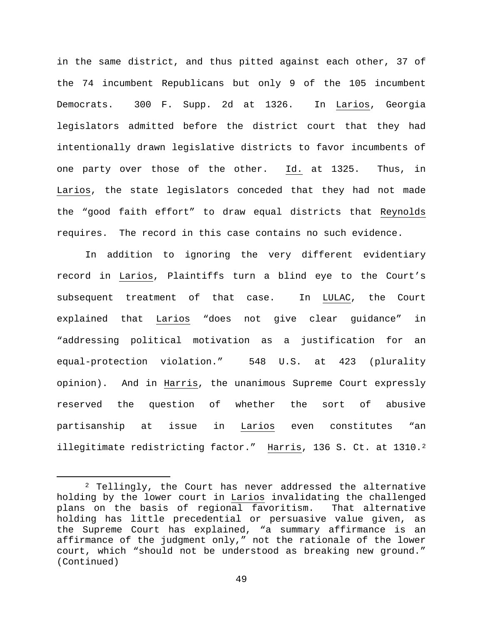in the same district, and thus pitted against each other, 37 of the 74 incumbent Republicans but only 9 of the 105 incumbent Democrats. 300 F. Supp. 2d at 1326. In Larios, Georgia legislators admitted before the district court that they had intentionally drawn legislative districts to favor incumbents of one party over those of the other. Id. at 1325. Thus, in Larios, the state legislators conceded that they had not made the "good faith effort" to draw equal districts that Reynolds requires. The record in this case contains no such evidence.

In addition to ignoring the very different evidentiary record in Larios, Plaintiffs turn a blind eye to the Court's subsequent treatment of that case. In LULAC, the Court explained that Larios "does not give clear guidance" in "addressing political motivation as a justification for an equal-protection violation." 548 U.S. at 423 (plurality opinion). And in Harris, the unanimous Supreme Court expressly reserved the question of whether the sort of abusive partisanship at issue in Larios even constitutes "an illegitimate redistricting factor." Harris, 136 S. Ct. at 1310.<sup>[2](#page-48-0)</sup>

<span id="page-48-0"></span> <sup>2</sup> Tellingly, the Court has never addressed the alternative holding by the lower court in <u>Larios</u> invalidating the challenged<br>plans on the basis of regional favoritism. That alternative plans on the basis of regional favoritism. holding has little precedential or persuasive value given, as the Supreme Court has explained, "a summary affirmance is an affirmance of the judgment only," not the rationale of the lower court, which "should not be understood as breaking new ground." (Continued)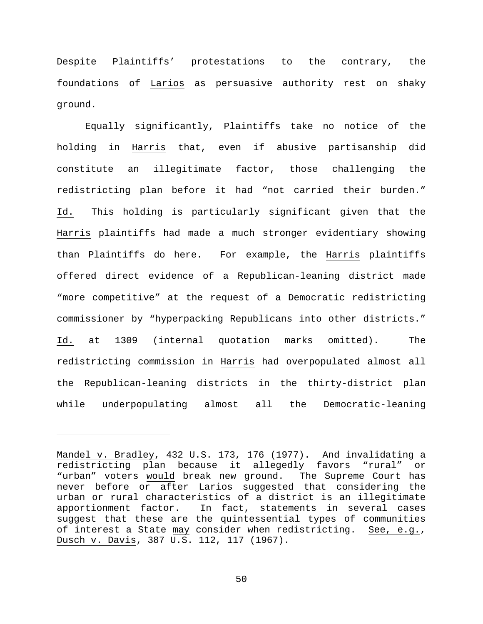Despite Plaintiffs' protestations to the contrary, the foundations of Larios as persuasive authority rest on shaky ground.

Equally significantly, Plaintiffs take no notice of the holding in Harris that, even if abusive partisanship did constitute an illegitimate factor, those challenging the redistricting plan before it had "not carried their burden." Id. This holding is particularly significant given that the Harris plaintiffs had made a much stronger evidentiary showing than Plaintiffs do here. For example, the Harris plaintiffs offered direct evidence of a Republican-leaning district made "more competitive" at the request of a Democratic redistricting commissioner by "hyperpacking Republicans into other districts." Id. at 1309 (internal quotation marks omitted). The redistricting commission in Harris had overpopulated almost all the Republican-leaning districts in the thirty-district plan while underpopulating almost all the Democratic-leaning

ī

Mandel v. Bradley, 432 U.S. 173, 176 (1977). And invalidating a redistricting plan because it allegedly favors "rural" or "urban" voters would break new ground. The Supreme Court has never before or after Larios suggested that considering the urban or rural characteristics of a district is an illegitimate In fact, statements in several cases suggest that these are the quintessential types of communities of interest a State may consider when redistricting. See, e.g., Dusch v. Davis, 387 U.S. 112, 117 (1967).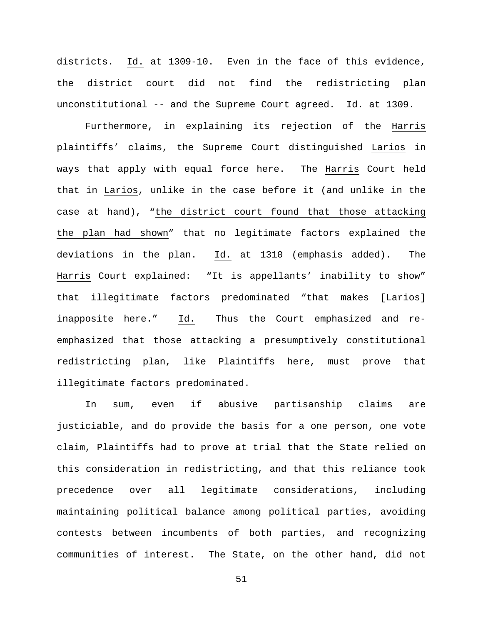districts. Id. at 1309-10. Even in the face of this evidence, the district court did not find the redistricting plan unconstitutional -- and the Supreme Court agreed. Id. at 1309.

Furthermore, in explaining its rejection of the Harris plaintiffs' claims, the Supreme Court distinguished Larios in ways that apply with equal force here. The Harris Court held that in Larios, unlike in the case before it (and unlike in the case at hand), "the district court found that those attacking the plan had shown" that no legitimate factors explained the deviations in the plan. Id. at 1310 (emphasis added). The Harris Court explained: "It is appellants' inability to show" that illegitimate factors predominated "that makes [Larios] inapposite here." Id. Thus the Court emphasized and reemphasized that those attacking a presumptively constitutional redistricting plan, like Plaintiffs here, must prove that illegitimate factors predominated.

In sum, even if abusive partisanship claims are justiciable, and do provide the basis for a one person, one vote claim, Plaintiffs had to prove at trial that the State relied on this consideration in redistricting, and that this reliance took precedence over all legitimate considerations, including maintaining political balance among political parties, avoiding contests between incumbents of both parties, and recognizing communities of interest. The State, on the other hand, did not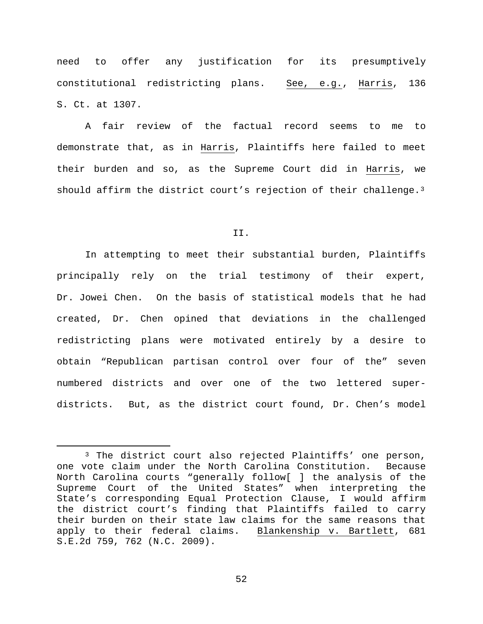need to offer any justification for its presumptively constitutional redistricting plans. See, e.g., Harris, 136 S. Ct. at 1307.

A fair review of the factual record seems to me to demonstrate that, as in Harris, Plaintiffs here failed to meet their burden and so, as the Supreme Court did in Harris, we should affirm the district court's rejection of their challenge.<sup>[3](#page-51-0)</sup>

II.

In attempting to meet their substantial burden, Plaintiffs principally rely on the trial testimony of their expert, Dr. Jowei Chen. On the basis of statistical models that he had created, Dr. Chen opined that deviations in the challenged redistricting plans were motivated entirely by a desire to obtain "Republican partisan control over four of the" seven numbered districts and over one of the two lettered superdistricts. But, as the district court found, Dr. Chen's model

<span id="page-51-0"></span> <sup>3</sup> The district court also rejected Plaintiffs' one person, one vote claim under the North Carolina Constitution. Because North Carolina courts "generally follow[ ] the analysis of the Supreme Court of the United States" when interpreting the State's corresponding Equal Protection Clause, I would affirm the district court's finding that Plaintiffs failed to carry their burden on their state law claims for the same reasons that apply to their federal claims. Blankenship v. Bartlett, 681 S.E.2d 759, 762 (N.C. 2009).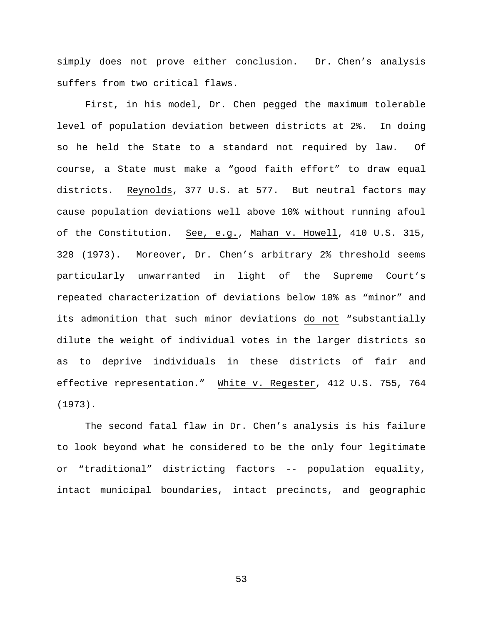simply does not prove either conclusion. Dr. Chen's analysis suffers from two critical flaws.

First, in his model, Dr. Chen pegged the maximum tolerable level of population deviation between districts at 2%. In doing so he held the State to a standard not required by law. Of course, a State must make a "good faith effort" to draw equal districts. Reynolds, 377 U.S. at 577. But neutral factors may cause population deviations well above 10% without running afoul of the Constitution. See, e.g., Mahan v. Howell, 410 U.S. 315, 328 (1973). Moreover, Dr. Chen's arbitrary 2% threshold seems particularly unwarranted in light of the Supreme Court's repeated characterization of deviations below 10% as "minor" and its admonition that such minor deviations do not "substantially dilute the weight of individual votes in the larger districts so as to deprive individuals in these districts of fair and effective representation." White v. Regester, 412 U.S. 755, 764 (1973).

The second fatal flaw in Dr. Chen's analysis is his failure to look beyond what he considered to be the only four legitimate or "traditional" districting factors -- population equality, intact municipal boundaries, intact precincts, and geographic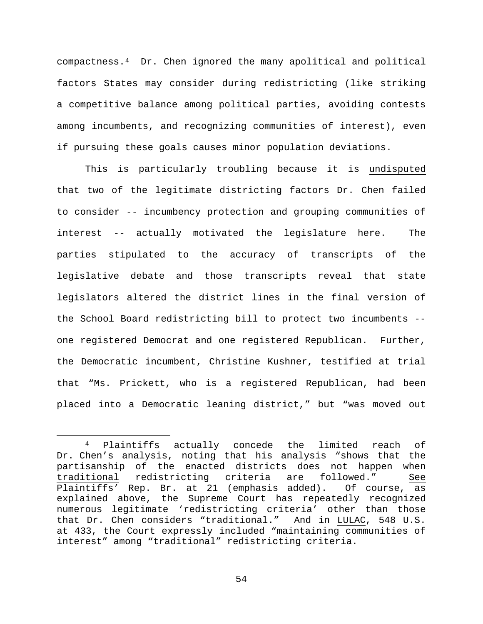compactness.[4](#page-53-0) Dr. Chen ignored the many apolitical and political factors States may consider during redistricting (like striking a competitive balance among political parties, avoiding contests among incumbents, and recognizing communities of interest), even if pursuing these goals causes minor population deviations.

This is particularly troubling because it is undisputed that two of the legitimate districting factors Dr. Chen failed to consider -- incumbency protection and grouping communities of interest -- actually motivated the legislature here. The parties stipulated to the accuracy of transcripts of the legislative debate and those transcripts reveal that state legislators altered the district lines in the final version of the School Board redistricting bill to protect two incumbents - one registered Democrat and one registered Republican. Further, the Democratic incumbent, Christine Kushner, testified at trial that "Ms. Prickett, who is a registered Republican, had been placed into a Democratic leaning district," but "was moved out

<span id="page-53-0"></span> <sup>4</sup> Plaintiffs actually concede the limited reach of Dr. Chen's analysis, noting that his analysis "shows that the partisanship of the enacted districts does not happen when traditional redistricting criteria are followed." See Plaintiffs' Rep. Br. at 21 (emphasis added). Of course, as explained above, the Supreme Court has repeatedly recognized numerous legitimate 'redistricting criteria' other than those that Dr. Chen considers "traditional." And in LULAC, 548 U.S. at 433, the Court expressly included "maintaining communities of interest" among "traditional" redistricting criteria.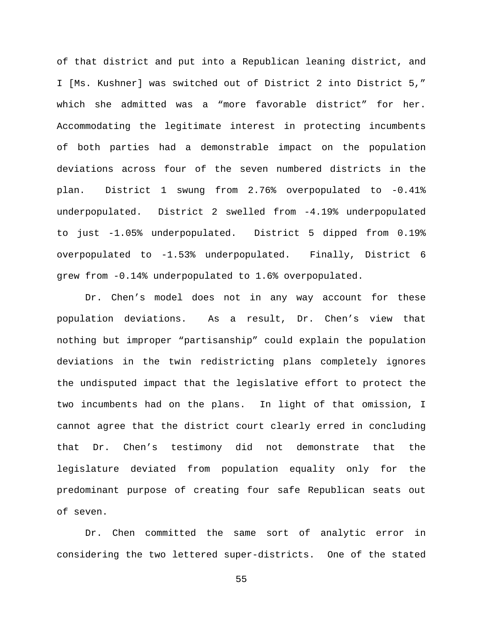of that district and put into a Republican leaning district, and I [Ms. Kushner] was switched out of District 2 into District 5," which she admitted was a "more favorable district" for her. Accommodating the legitimate interest in protecting incumbents of both parties had a demonstrable impact on the population deviations across four of the seven numbered districts in the plan. District 1 swung from 2.76% overpopulated to -0.41% underpopulated. District 2 swelled from -4.19% underpopulated to just -1.05% underpopulated. District 5 dipped from 0.19% overpopulated to -1.53% underpopulated. Finally, District 6 grew from -0.14% underpopulated to 1.6% overpopulated.

Dr. Chen's model does not in any way account for these population deviations. As a result, Dr. Chen's view that nothing but improper "partisanship" could explain the population deviations in the twin redistricting plans completely ignores the undisputed impact that the legislative effort to protect the two incumbents had on the plans. In light of that omission, I cannot agree that the district court clearly erred in concluding that Dr. Chen's testimony did not demonstrate that the legislature deviated from population equality only for the predominant purpose of creating four safe Republican seats out of seven.

Dr. Chen committed the same sort of analytic error in considering the two lettered super-districts. One of the stated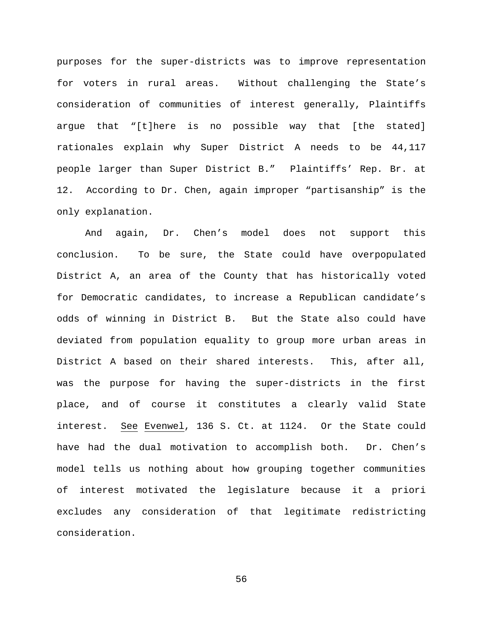purposes for the super-districts was to improve representation for voters in rural areas. Without challenging the State's consideration of communities of interest generally, Plaintiffs argue that "[t]here is no possible way that [the stated] rationales explain why Super District A needs to be 44,117 people larger than Super District B." Plaintiffs' Rep. Br. at 12. According to Dr. Chen, again improper "partisanship" is the only explanation.

And again, Dr. Chen's model does not support this conclusion. To be sure, the State could have overpopulated District A, an area of the County that has historically voted for Democratic candidates, to increase a Republican candidate's odds of winning in District B. But the State also could have deviated from population equality to group more urban areas in District A based on their shared interests. This, after all, was the purpose for having the super-districts in the first place, and of course it constitutes a clearly valid State interest. See Evenwel, 136 S. Ct. at 1124. Or the State could have had the dual motivation to accomplish both. Dr. Chen's model tells us nothing about how grouping together communities of interest motivated the legislature because it a priori excludes any consideration of that legitimate redistricting consideration.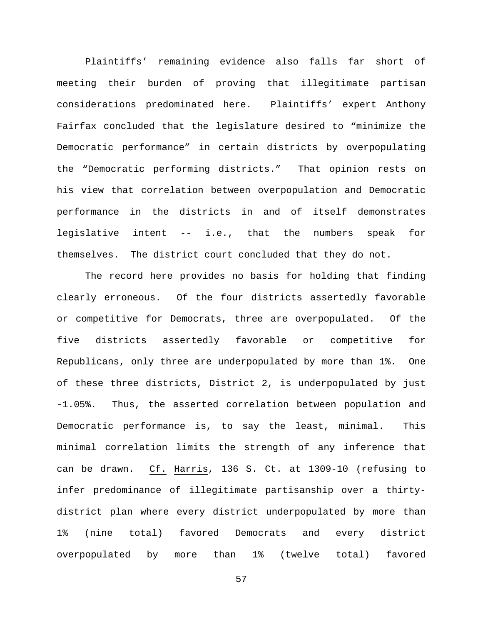Plaintiffs' remaining evidence also falls far short of meeting their burden of proving that illegitimate partisan considerations predominated here. Plaintiffs' expert Anthony Fairfax concluded that the legislature desired to "minimize the Democratic performance" in certain districts by overpopulating the "Democratic performing districts." That opinion rests on his view that correlation between overpopulation and Democratic performance in the districts in and of itself demonstrates legislative intent -- i.e., that the numbers speak for themselves. The district court concluded that they do not.

The record here provides no basis for holding that finding clearly erroneous. Of the four districts assertedly favorable or competitive for Democrats, three are overpopulated. Of the five districts assertedly favorable or competitive for Republicans, only three are underpopulated by more than 1%. One of these three districts, District 2, is underpopulated by just -1.05%. Thus, the asserted correlation between population and Democratic performance is, to say the least, minimal. This minimal correlation limits the strength of any inference that can be drawn. Cf. Harris, 136 S. Ct. at 1309-10 (refusing to infer predominance of illegitimate partisanship over a thirtydistrict plan where every district underpopulated by more than 1% (nine total) favored Democrats and every district overpopulated by more than 1% (twelve total) favored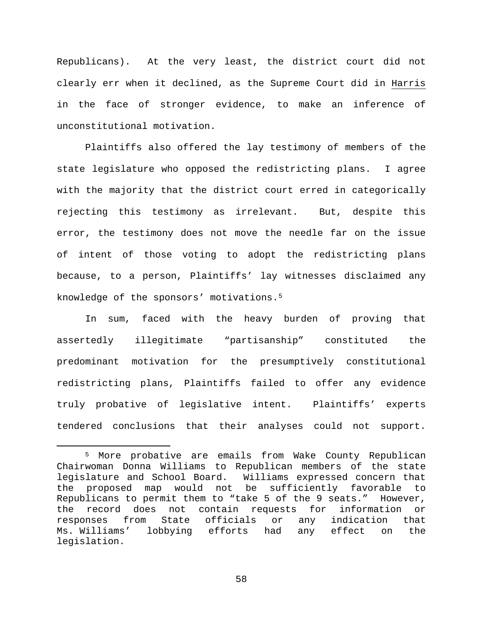Republicans). At the very least, the district court did not clearly err when it declined, as the Supreme Court did in Harris in the face of stronger evidence, to make an inference of unconstitutional motivation.

Plaintiffs also offered the lay testimony of members of the state legislature who opposed the redistricting plans. I agree with the majority that the district court erred in categorically rejecting this testimony as irrelevant. But, despite this error, the testimony does not move the needle far on the issue of intent of those voting to adopt the redistricting plans because, to a person, Plaintiffs' lay witnesses disclaimed any knowledge of the sponsors' motivations.[5](#page-57-0)

In sum, faced with the heavy burden of proving that assertedly illegitimate "partisanship" constituted the predominant motivation for the presumptively constitutional redistricting plans, Plaintiffs failed to offer any evidence truly probative of legislative intent. Plaintiffs' experts tendered conclusions that their analyses could not support.

<span id="page-57-0"></span> <sup>5</sup> More probative are emails from Wake County Republican Chairwoman Donna Williams to Republican members of the state legislature and School Board. Williams expressed concern that the proposed map would not be sufficiently favorable to Republicans to permit them to "take 5 of the 9 seats." However, the record does not contain requests for information or<br>responses from State officials or any indication that responses from State officials or any indication<br>Ms.Williams' lobbying efforts had any effect on lobbying efforts had any effect on the legislation.